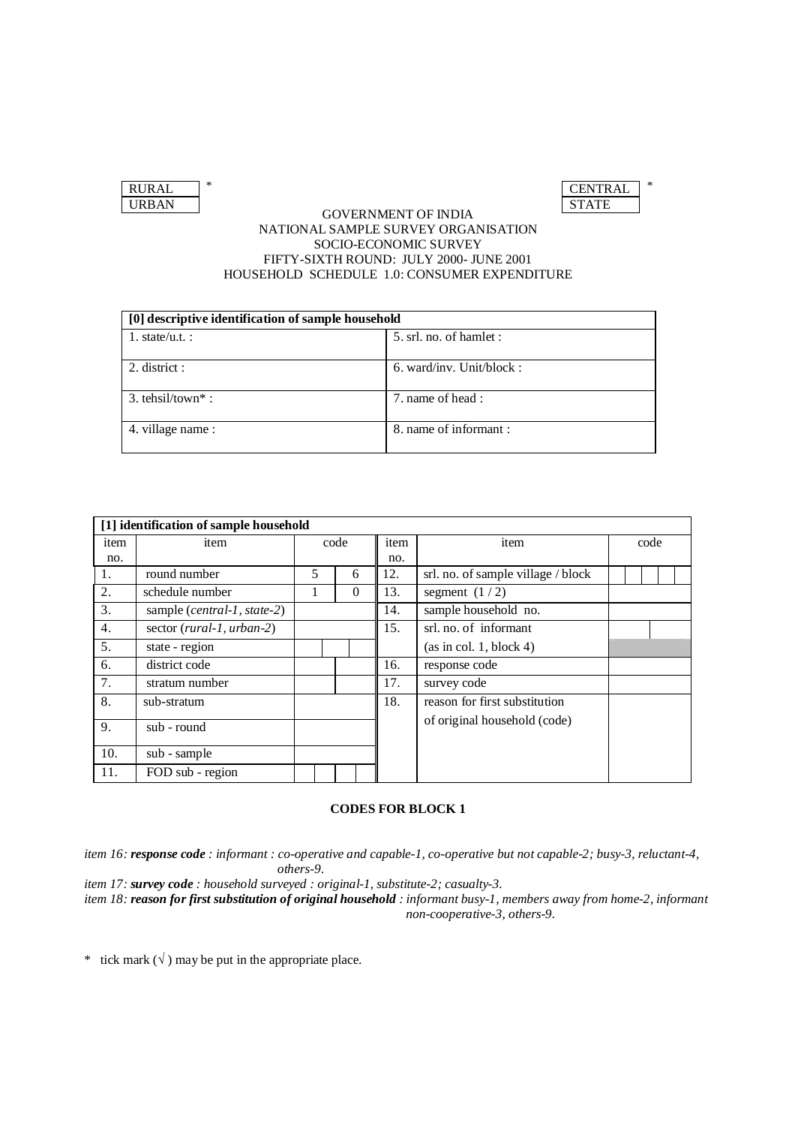| <b>RURAI</b> |  |
|--------------|--|
| URBAN        |  |

### GOVERNMENT OF INDIA NATIONAL SAMPLE SURVEY ORGANISATION SOCIO-ECONOMIC SURVEY FIFTY-SIXTH ROUND: JULY 2000- JUNE 2001 HOUSEHOLD SCHEDULE 1.0: CONSUMER EXPENDITURE

| [0] descriptive identification of sample household |                             |  |  |  |  |  |  |  |
|----------------------------------------------------|-----------------------------|--|--|--|--|--|--|--|
| 1. state/u.t. :                                    | 5. srl. no. of hamlet :     |  |  |  |  |  |  |  |
| $2.$ district :                                    | $6.$ ward/inv. Unit/block : |  |  |  |  |  |  |  |
| $3.$ tehsil/town <sup>*</sup> :                    | 7, name of head:            |  |  |  |  |  |  |  |
| 4. village name:                                   | 8. name of informant:       |  |  |  |  |  |  |  |

|      | [1] identification of sample household       |  |   |      |                       |      |                                    |      |  |  |  |  |  |
|------|----------------------------------------------|--|---|------|-----------------------|------|------------------------------------|------|--|--|--|--|--|
| item | item                                         |  |   | code |                       | item | item                               | code |  |  |  |  |  |
| no.  |                                              |  |   | no.  |                       |      |                                    |      |  |  |  |  |  |
| 1.   | round number                                 |  | 5 |      | 6                     | 12.  | srl. no. of sample village / block |      |  |  |  |  |  |
| 2.   | schedule number                              |  |   |      | $\Omega$              | 13.  | segment $(1/2)$                    |      |  |  |  |  |  |
| 3.   | sample ( <i>central-1</i> , <i>state-2</i> ) |  |   |      |                       | 14.  | sample household no.               |      |  |  |  |  |  |
| 4.   | sector (rural-1, urban-2)                    |  |   | 15.  | srl. no. of informant |      |                                    |      |  |  |  |  |  |
| 5.   | state - region                               |  |   |      |                       |      | (as in col. 1, block 4)            |      |  |  |  |  |  |
| 6.   | district code                                |  |   |      |                       | 16.  | response code                      |      |  |  |  |  |  |
| 7.   | stratum number                               |  |   |      |                       | 17.  | survey code                        |      |  |  |  |  |  |
| 8.   | sub-stratum                                  |  |   |      |                       | 18.  | reason for first substitution      |      |  |  |  |  |  |
| 9.   | sub - round                                  |  |   |      |                       |      | of original household (code)       |      |  |  |  |  |  |
| 10.  | sub - sample                                 |  |   |      |                       |      |                                    |      |  |  |  |  |  |
| 11.  | FOD sub - region                             |  |   |      |                       |      |                                    |      |  |  |  |  |  |

# **CODES FOR BLOCK 1**

*item 16: response code : informant : co-operative and capable-1, co-operative but not capable-2; busy-3, reluctant-4, others-9.*

*item 17: survey code : household surveyed : original-1, substitute-2; casualty-3.*

*item 18: reason for first substitution of original household : informant busy-1, members away from home-2, informant non-cooperative-3, others-9.*

\* tick mark  $(\sqrt{})$  may be put in the appropriate place.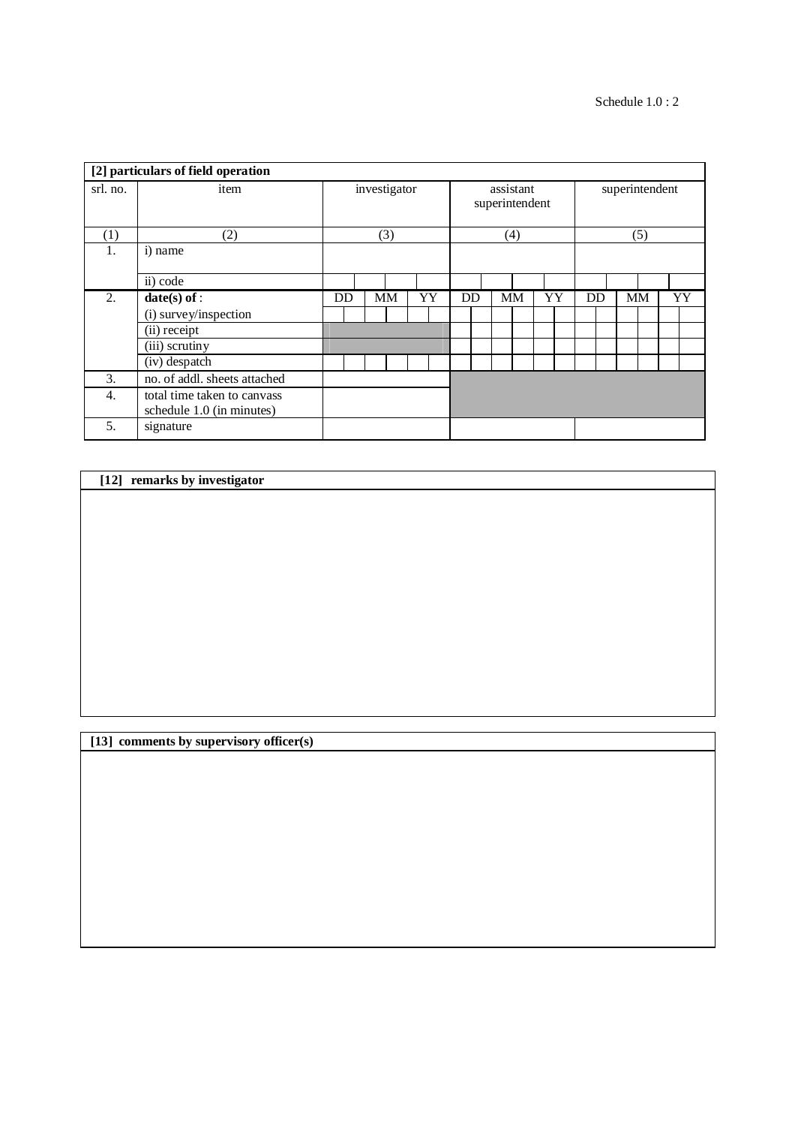|                  | [2] particulars of field operation |    |              |           |    |  |    |           |                             |    |                |  |           |  |    |  |
|------------------|------------------------------------|----|--------------|-----------|----|--|----|-----------|-----------------------------|----|----------------|--|-----------|--|----|--|
| srl. no.         | item                               |    | investigator |           |    |  |    |           | assistant<br>superintendent |    | superintendent |  |           |  |    |  |
| $\left(1\right)$ | (2)                                |    | (3)          |           |    |  |    |           | (4)                         |    | (5)            |  |           |  |    |  |
| 1.               | i) name                            |    |              |           |    |  |    |           |                             |    |                |  |           |  |    |  |
|                  | ii) code                           |    |              |           |    |  |    |           |                             |    |                |  |           |  |    |  |
| $\overline{2}$ . | $date(s)$ of :                     | DD |              | <b>MM</b> | YY |  | DD | <b>MM</b> |                             | YY | DD             |  | <b>MM</b> |  | YY |  |
|                  | (i) survey/inspection              |    |              |           |    |  |    |           |                             |    |                |  |           |  |    |  |
|                  | (ii) receipt                       |    |              |           |    |  |    |           |                             |    |                |  |           |  |    |  |
|                  | (iii) scrutiny                     |    |              |           |    |  |    |           |                             |    |                |  |           |  |    |  |
|                  | (iv) despatch                      |    |              |           |    |  |    |           |                             |    |                |  |           |  |    |  |
| 3.               | no. of addl. sheets attached       |    |              |           |    |  |    |           |                             |    |                |  |           |  |    |  |
| 4.               | total time taken to canvass        |    |              |           |    |  |    |           |                             |    |                |  |           |  |    |  |
|                  | schedule 1.0 (in minutes)          |    |              |           |    |  |    |           |                             |    |                |  |           |  |    |  |
| 5.               | signature                          |    |              |           |    |  |    |           |                             |    |                |  |           |  |    |  |

# **[12] remarks by investigator**

**[13] comments by supervisory officer(s)**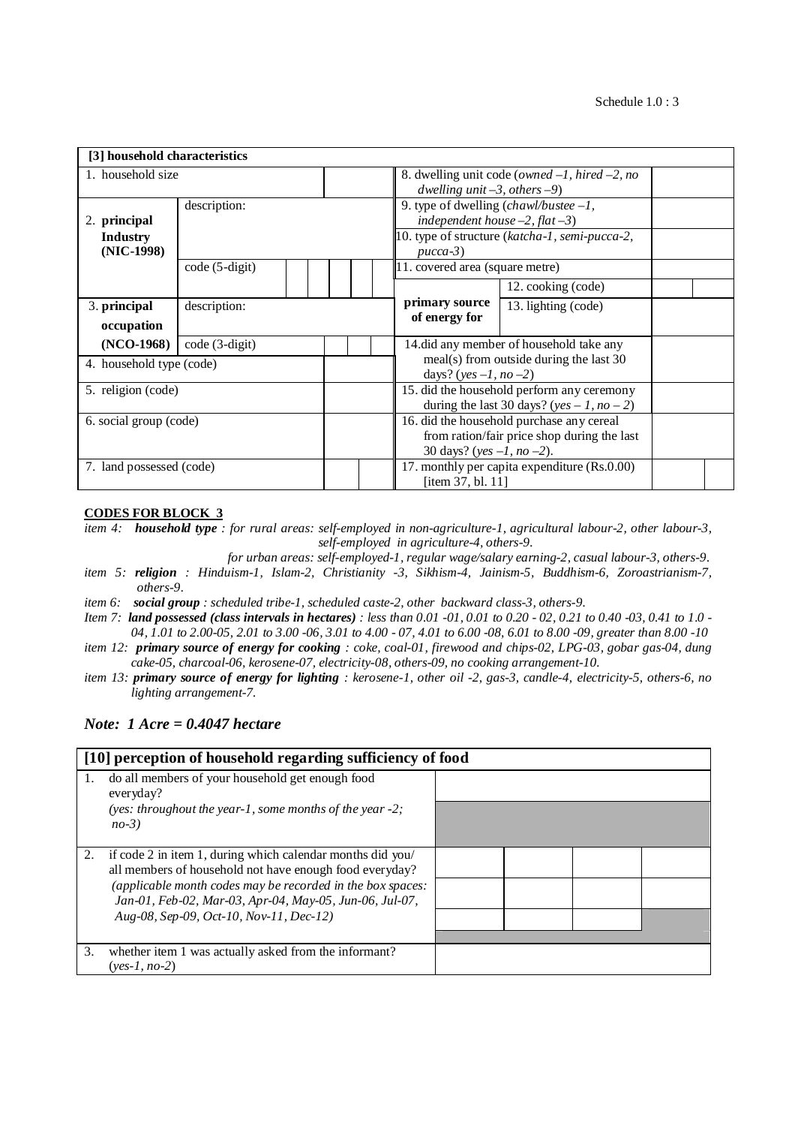| [3] household characteristics           |                 |  |  |                                                                                                                       |                                                                                                                                                            |  |  |  |  |  |  |
|-----------------------------------------|-----------------|--|--|-----------------------------------------------------------------------------------------------------------------------|------------------------------------------------------------------------------------------------------------------------------------------------------------|--|--|--|--|--|--|
| 1. household size                       |                 |  |  | 8. dwelling unit code ( <i>owned <math>-1</math>, hired <math>-2</math>, no</i><br>dwelling unit $-3$ , others $-9$ ) |                                                                                                                                                            |  |  |  |  |  |  |
| 2. principal<br><b>Industry</b>         | description:    |  |  |                                                                                                                       | 9. type of dwelling $\langle \textit{chawl/bustee} - 1, \rangle$<br>independent house $-2$ , flat $-3$ )<br>10. type of structure (katcha-1, semi-pucca-2, |  |  |  |  |  |  |
| (NIC-1998)                              | $code(5-digit)$ |  |  | $pucca-3)$<br>11. covered area (square metre)                                                                         |                                                                                                                                                            |  |  |  |  |  |  |
|                                         |                 |  |  |                                                                                                                       | 12. cooking (code)                                                                                                                                         |  |  |  |  |  |  |
| 3. principal<br>occupation              | description:    |  |  |                                                                                                                       | 13. lighting (code)                                                                                                                                        |  |  |  |  |  |  |
| $(NO-1968)$<br>4. household type (code) | code (3-digit)  |  |  |                                                                                                                       | 14.did any member of household take any<br>meal(s) from outside during the last 30<br>days? (yes $-1$ , no $-2$ )                                          |  |  |  |  |  |  |
| 5. religion (code)                      |                 |  |  |                                                                                                                       | 15. did the household perform any ceremony<br>during the last 30 days? (yes – 1, no – 2)                                                                   |  |  |  |  |  |  |
| 6. social group (code)                  |                 |  |  |                                                                                                                       | 16. did the household purchase any cereal<br>from ration/fair price shop during the last<br>30 days? (yes $-1$ , no $-2$ ).                                |  |  |  |  |  |  |
| 7. land possessed (code)                |                 |  |  |                                                                                                                       | 17. monthly per capita expenditure (Rs.0.00)<br>[item 37, bl. 11]                                                                                          |  |  |  |  |  |  |

#### **CODES FOR BLOCK 3**

*item 4: household type : for rural areas: self-employed in non-agriculture-1, agricultural labour-2, other labour-3, self-employed in agriculture-4, others-9.*

- *for urban areas: self-employed-1, regular wage/salary earning-2, casual labour-3, others-9.*
- *item 5: religion : Hinduism-1, Islam-2, Christianity -3, Sikhism-4, Jainism-5, Buddhism-6, Zoroastrianism-7, others-9.*
- *item 6: social group : scheduled tribe-1, scheduled caste-2, other backward class-3, others-9.*
- *Item 7: land possessed (class intervals in hectares) : less than 0.01 -01, 0.01 to 0.20 - 02, 0.21 to 0.40 -03, 0.41 to 1.0 - 04, 1.01 to 2.00-05, 2.01 to 3.00 -06, 3.01 to 4.00 - 07, 4.01 to 6.00 -08, 6.01 to 8.00 -09, greater than 8.00 -10*
- *item 12: primary source of energy for cooking : coke, coal-01, firewood and chips-02, LPG-03, gobar gas-04, dung cake-05, charcoal-06, kerosene-07, electricity-08, others-09, no cooking arrangement-10.*
- *item 13: primary source of energy for lighting : kerosene-1, other oil -2, gas-3, candle-4, electricity-5, others-6, no lighting arrangement-7.*

# *Note: 1 Acre = 0.4047 hectare*

|    | [10] perception of household regarding sufficiency of food                                                            |  |  |
|----|-----------------------------------------------------------------------------------------------------------------------|--|--|
| 1. | do all members of your household get enough food<br>everyday?                                                         |  |  |
|    | (yes: throughout the year-1, some months of the year $-2$ ;<br>$no-3$                                                 |  |  |
| 2. | if code 2 in item 1, during which calendar months did you/<br>all members of household not have enough food everyday? |  |  |
|    | (applicable month codes may be recorded in the box spaces:<br>Jan-01, Feb-02, Mar-03, Apr-04, May-05, Jun-06, Jul-07, |  |  |
|    | Aug-08, Sep-09, Oct-10, Nov-11, Dec-12)                                                                               |  |  |
| 3. | whether item 1 was actually asked from the informant?<br>$(ves-1, no-2)$                                              |  |  |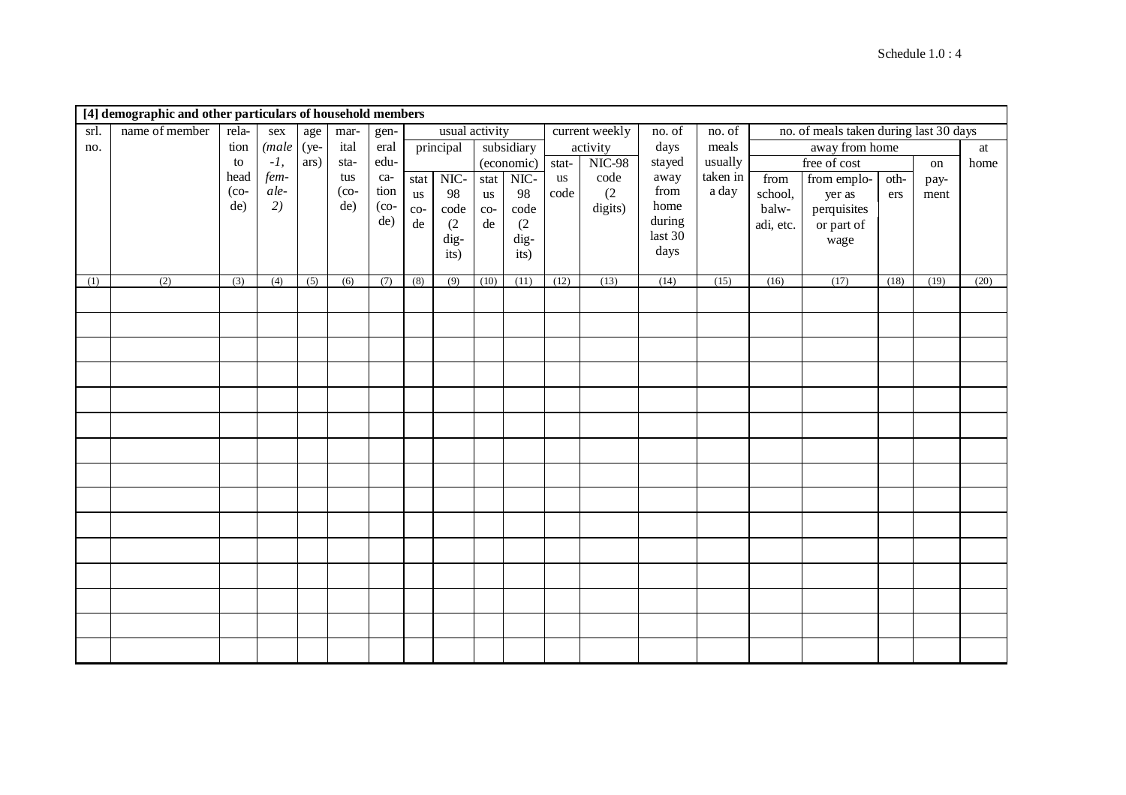|      | [4] demographic and other particulars of household members |                 |            |                  |                  |         |              |                |              |                       |       |                |         |          |           |                                        |      |      |      |
|------|------------------------------------------------------------|-----------------|------------|------------------|------------------|---------|--------------|----------------|--------------|-----------------------|-------|----------------|---------|----------|-----------|----------------------------------------|------|------|------|
| srl. | name of member                                             | rela-           | sex        | age              | mar-             | gen-    |              | usual activity |              |                       |       | current weekly | no. of  | no. of   |           | no. of meals taken during last 30 days |      |      |      |
| no.  |                                                            | tion            | (male (ye- |                  | ital             | eral    |              | principal      |              | subsidiary            |       | activity       | days    | meals    |           | away from home                         |      |      | at   |
|      |                                                            | to              | $-1,$      | ars)             | sta-             | edu-    |              |                |              | (economic)            | stat- | <b>NIC-98</b>  | stayed  | usually  |           | free of cost                           |      | on   | home |
|      |                                                            | head            | fem-       |                  | tus              | ca-     |              | stat NIC-      | stat         | $NIC-$                | us    | code           | away    | taken in | from      | from emplo-                            | oth- | pay- |      |
|      |                                                            | $(co-$          | ale-       |                  | $($ co-          | tion    | us           | 98             | $\,$ us      | 98                    | code  | (2)            | from    | a day    | school,   | yer as                                 | ers  | ment |      |
|      |                                                            | de)             | 2)         |                  | de)              | $($ co- | $_{\rm co-}$ | code           | $_{\rm co-}$ | $\operatorname{code}$ |       | digits)        | home    |          | balw-     | perquisites                            |      |      |      |
|      |                                                            |                 |            |                  |                  | de)     | $\rm de$     | (2)            | $\rm{d}e$    | (2)                   |       |                | during  |          | adi, etc. | or part of                             |      |      |      |
|      |                                                            |                 |            |                  |                  |         |              | dig-           |              | $\rm{dig}$ -          |       |                | last 30 |          |           | wage                                   |      |      |      |
|      |                                                            |                 |            |                  |                  |         |              | its)           |              | its)                  |       |                | days    |          |           |                                        |      |      |      |
| (1)  | $\overline{(2)}$                                           | $\overline{3)}$ | (4)        | $\overline{(5)}$ | $\overline{(6)}$ | (7)     | (8)          | (9)            | (10)         | (11)                  | (12)  | (13)           | (14)    | (15)     | (16)      | (17)                                   | (18) | (19) | (20) |
|      |                                                            |                 |            |                  |                  |         |              |                |              |                       |       |                |         |          |           |                                        |      |      |      |
|      |                                                            |                 |            |                  |                  |         |              |                |              |                       |       |                |         |          |           |                                        |      |      |      |
|      |                                                            |                 |            |                  |                  |         |              |                |              |                       |       |                |         |          |           |                                        |      |      |      |
|      |                                                            |                 |            |                  |                  |         |              |                |              |                       |       |                |         |          |           |                                        |      |      |      |
|      |                                                            |                 |            |                  |                  |         |              |                |              |                       |       |                |         |          |           |                                        |      |      |      |
|      |                                                            |                 |            |                  |                  |         |              |                |              |                       |       |                |         |          |           |                                        |      |      |      |
|      |                                                            |                 |            |                  |                  |         |              |                |              |                       |       |                |         |          |           |                                        |      |      |      |
|      |                                                            |                 |            |                  |                  |         |              |                |              |                       |       |                |         |          |           |                                        |      |      |      |
|      |                                                            |                 |            |                  |                  |         |              |                |              |                       |       |                |         |          |           |                                        |      |      |      |
|      |                                                            |                 |            |                  |                  |         |              |                |              |                       |       |                |         |          |           |                                        |      |      |      |
|      |                                                            |                 |            |                  |                  |         |              |                |              |                       |       |                |         |          |           |                                        |      |      |      |
|      |                                                            |                 |            |                  |                  |         |              |                |              |                       |       |                |         |          |           |                                        |      |      |      |
|      |                                                            |                 |            |                  |                  |         |              |                |              |                       |       |                |         |          |           |                                        |      |      |      |
|      |                                                            |                 |            |                  |                  |         |              |                |              |                       |       |                |         |          |           |                                        |      |      |      |
|      |                                                            |                 |            |                  |                  |         |              |                |              |                       |       |                |         |          |           |                                        |      |      |      |
|      |                                                            |                 |            |                  |                  |         |              |                |              |                       |       |                |         |          |           |                                        |      |      |      |
|      |                                                            |                 |            |                  |                  |         |              |                |              |                       |       |                |         |          |           |                                        |      |      |      |
|      |                                                            |                 |            |                  |                  |         |              |                |              |                       |       |                |         |          |           |                                        |      |      |      |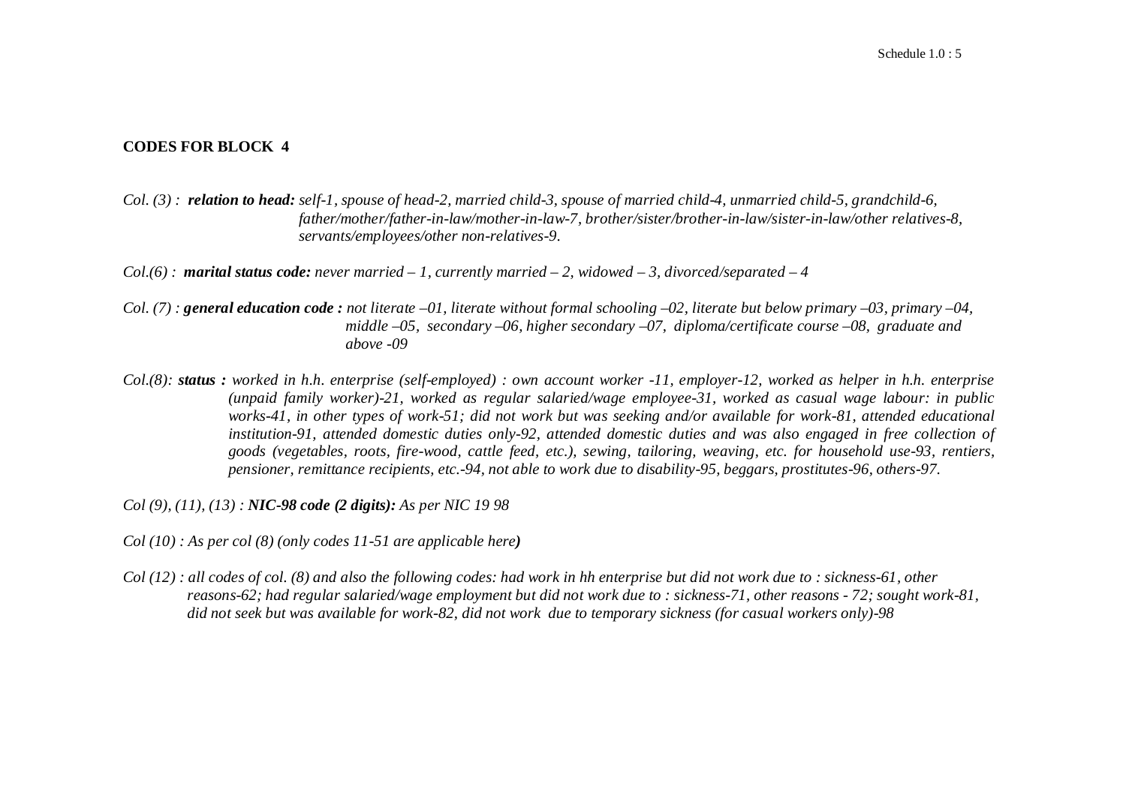# **CODES FOR BLOCK 4**

*Col. (3) : relation to head: self-1, spouse of head-2, married child-3, spouse of married child-4, unmarried child-5, grandchild-6, father/mother/father-in-law/mother-in-law-7, brother/sister/brother-in-law/sister-in-law/other relatives-8, servants/employees/other non-relatives-9.*

*Col.(6) : marital status code: never married – 1, currently married – 2, widowed – 3, divorced/separated – 4*

- *Col. (7) : general education code : not literate –01, literate without formal schooling –02, literate but below primary –03, primary –04, middle –05, secondary –06, higher secondary –07, diploma/certificate course –08, graduate and above -09*
- *Col.(8): status : worked in h.h. enterprise (self-employed) : own account worker -11, employer-12, worked as helper in h.h. enterprise (unpaid family worker)-21, worked as regular salaried/wage employee-31, worked as casual wage labour: in public works-41, in other types of work-51; did not work but was seeking and/or available for work-81, attended educational*  institution-91, attended domestic duties only-92, attended domestic duties and was also engaged in free collection of *goods (vegetables, roots, fire-wood, cattle feed, etc.), sewing, tailoring, weaving, etc. for household use-93, rentiers, pensioner, remittance recipients, etc.-94, not able to work due to disability-95, beggars, prostitutes-96, others-97.*

*Col (9), (11), (13) : NIC-98 code (2 digits): As per NIC 19 98*

- *Col (10) : As per col (8) (only codes 11-51 are applicable here)*
- *Col (12) : all codes of col. (8) and also the following codes: had work in hh enterprise but did not work due to : sickness-61, other reasons-62; had regular salaried/wage employment but did not work due to : sickness-71, other reasons - 72; sought work-81, did not seek but was available for work-82, did not work due to temporary sickness (for casual workers only)-98*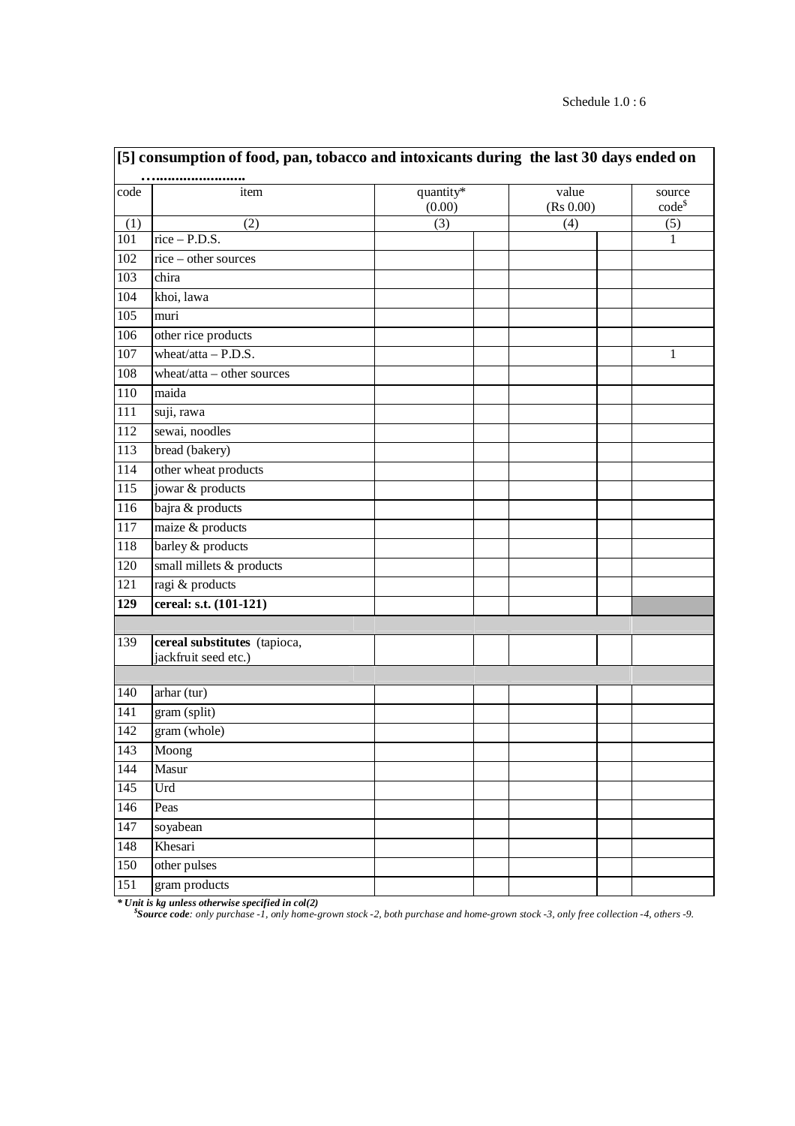|                  | [5] consumption of food, pan, tobacco and intoxicants during the last 30 days ended on |                     |  |                    |  |                       |  |  |  |  |  |
|------------------|----------------------------------------------------------------------------------------|---------------------|--|--------------------|--|-----------------------|--|--|--|--|--|
| code             | item                                                                                   | quantity*<br>(0.00) |  | value<br>(Rs 0.00) |  | source<br>$code^{\$}$ |  |  |  |  |  |
| (1)              | (2)                                                                                    | (3)                 |  | (4)                |  | (5)                   |  |  |  |  |  |
| $\overline{101}$ | $rice - P.D.S.$                                                                        |                     |  |                    |  | $\mathbf{1}$          |  |  |  |  |  |
| 102              | rice - other sources                                                                   |                     |  |                    |  |                       |  |  |  |  |  |
| 103              | chira                                                                                  |                     |  |                    |  |                       |  |  |  |  |  |
| 104              | khoi, lawa                                                                             |                     |  |                    |  |                       |  |  |  |  |  |
| $\overline{105}$ | muri                                                                                   |                     |  |                    |  |                       |  |  |  |  |  |
| 106              | other rice products                                                                    |                     |  |                    |  |                       |  |  |  |  |  |
| 107              | wheat/atta $-$ P.D.S.                                                                  |                     |  |                    |  | 1                     |  |  |  |  |  |
| 108              | wheat/atta - other sources                                                             |                     |  |                    |  |                       |  |  |  |  |  |
| 110              | maida                                                                                  |                     |  |                    |  |                       |  |  |  |  |  |
| 111              | suji, rawa                                                                             |                     |  |                    |  |                       |  |  |  |  |  |
| $\overline{112}$ | sewai, noodles                                                                         |                     |  |                    |  |                       |  |  |  |  |  |
| 113              | bread (bakery)                                                                         |                     |  |                    |  |                       |  |  |  |  |  |
| 114              | other wheat products                                                                   |                     |  |                    |  |                       |  |  |  |  |  |
| 115              | jowar & products                                                                       |                     |  |                    |  |                       |  |  |  |  |  |
| 116              | bajra & products                                                                       |                     |  |                    |  |                       |  |  |  |  |  |
| $\overline{117}$ | maize & products                                                                       |                     |  |                    |  |                       |  |  |  |  |  |
| 118              | barley & products                                                                      |                     |  |                    |  |                       |  |  |  |  |  |
| 120              | small millets & products                                                               |                     |  |                    |  |                       |  |  |  |  |  |
| 121              | ragi & products                                                                        |                     |  |                    |  |                       |  |  |  |  |  |
| 129              | cereal: s.t. (101-121)                                                                 |                     |  |                    |  |                       |  |  |  |  |  |
|                  |                                                                                        |                     |  |                    |  |                       |  |  |  |  |  |
| 139              | cereal substitutes (tapioca,<br>jackfruit seed etc.)                                   |                     |  |                    |  |                       |  |  |  |  |  |
|                  |                                                                                        |                     |  |                    |  |                       |  |  |  |  |  |
| 140              | arhar (tur)                                                                            |                     |  |                    |  |                       |  |  |  |  |  |
| 141              | gram (split)                                                                           |                     |  |                    |  |                       |  |  |  |  |  |
| $\overline{142}$ | gram (whole)                                                                           |                     |  |                    |  |                       |  |  |  |  |  |
| 143              | Moong                                                                                  |                     |  |                    |  |                       |  |  |  |  |  |
| 144              | Masur                                                                                  |                     |  |                    |  |                       |  |  |  |  |  |
| $\overline{145}$ | Urd                                                                                    |                     |  |                    |  |                       |  |  |  |  |  |
| 146              | Peas                                                                                   |                     |  |                    |  |                       |  |  |  |  |  |
| 147              | soyabean                                                                               |                     |  |                    |  |                       |  |  |  |  |  |
| 148              | Khesari                                                                                |                     |  |                    |  |                       |  |  |  |  |  |
| $\overline{150}$ | other pulses                                                                           |                     |  |                    |  |                       |  |  |  |  |  |
| 151              | gram products                                                                          |                     |  |                    |  |                       |  |  |  |  |  |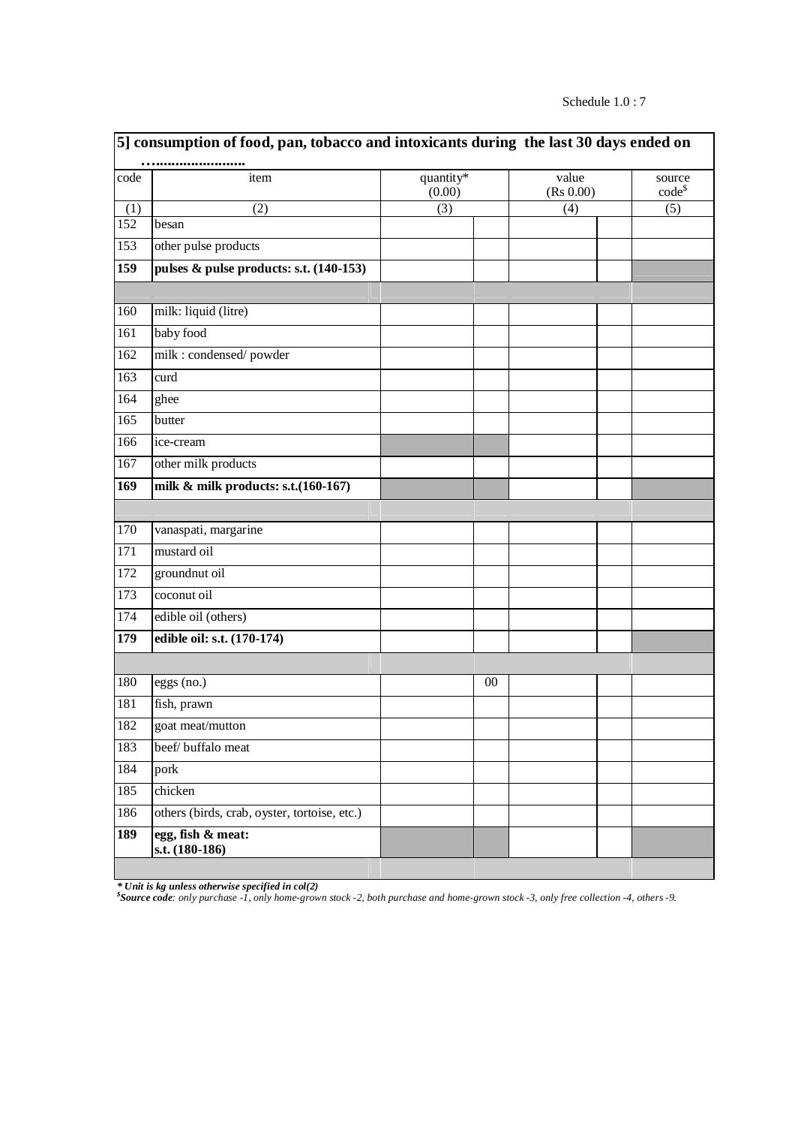|                  | 5] consumption of food, pan, tobacco and intoxicants during the last 30 days ended on |                     |    |                    |                       |
|------------------|---------------------------------------------------------------------------------------|---------------------|----|--------------------|-----------------------|
| code             | <br>item                                                                              | quantity*<br>(0.00) |    | value<br>(Rs 0.00) | source<br>$code^{\$}$ |
| (1)              | (2)                                                                                   | (3)                 |    | (4)                | (5)                   |
| 152              | besan                                                                                 |                     |    |                    |                       |
| 153              | other pulse products                                                                  |                     |    |                    |                       |
| 159              | pulses & pulse products: s.t. (140-153)                                               |                     |    |                    |                       |
|                  |                                                                                       |                     |    |                    |                       |
| 160              | milk: liquid (litre)                                                                  |                     |    |                    |                       |
| 161              | baby food                                                                             |                     |    |                    |                       |
| 162              | milk : condensed/powder                                                               |                     |    |                    |                       |
| $\overline{163}$ | curd                                                                                  |                     |    |                    |                       |
| 164              | ghee                                                                                  |                     |    |                    |                       |
| $\overline{165}$ | butter                                                                                |                     |    |                    |                       |
| 166              | ice-cream                                                                             |                     |    |                    |                       |
| 167              | other milk products                                                                   |                     |    |                    |                       |
| 169              | milk & milk products: s.t. (160-167)                                                  |                     |    |                    |                       |
|                  |                                                                                       |                     |    |                    |                       |
| 170              | vanaspati, margarine                                                                  |                     |    |                    |                       |
| $\overline{171}$ | mustard oil                                                                           |                     |    |                    |                       |
| 172              | groundnut oil                                                                         |                     |    |                    |                       |
| 173              | coconut oil                                                                           |                     |    |                    |                       |
| 174              | edible oil (others)                                                                   |                     |    |                    |                       |
| 179              | edible oil: s.t. (170-174)                                                            |                     |    |                    |                       |
|                  |                                                                                       |                     |    |                    |                       |
| 180              | eggs (no.)                                                                            |                     | 00 |                    |                       |
| 181              | fish, prawn                                                                           |                     |    |                    |                       |
| 182              | goat meat/mutton                                                                      |                     |    |                    |                       |
| 183              | beef/ buffalo meat                                                                    |                     |    |                    |                       |
| 184              | pork                                                                                  |                     |    |                    |                       |
| 185              | chicken                                                                               |                     |    |                    |                       |
| 186              | others (birds, crab, oyster, tortoise, etc.)                                          |                     |    |                    |                       |
| 189              | egg, fish & meat:                                                                     |                     |    |                    |                       |
|                  | s.t. (180-186)                                                                        |                     |    |                    |                       |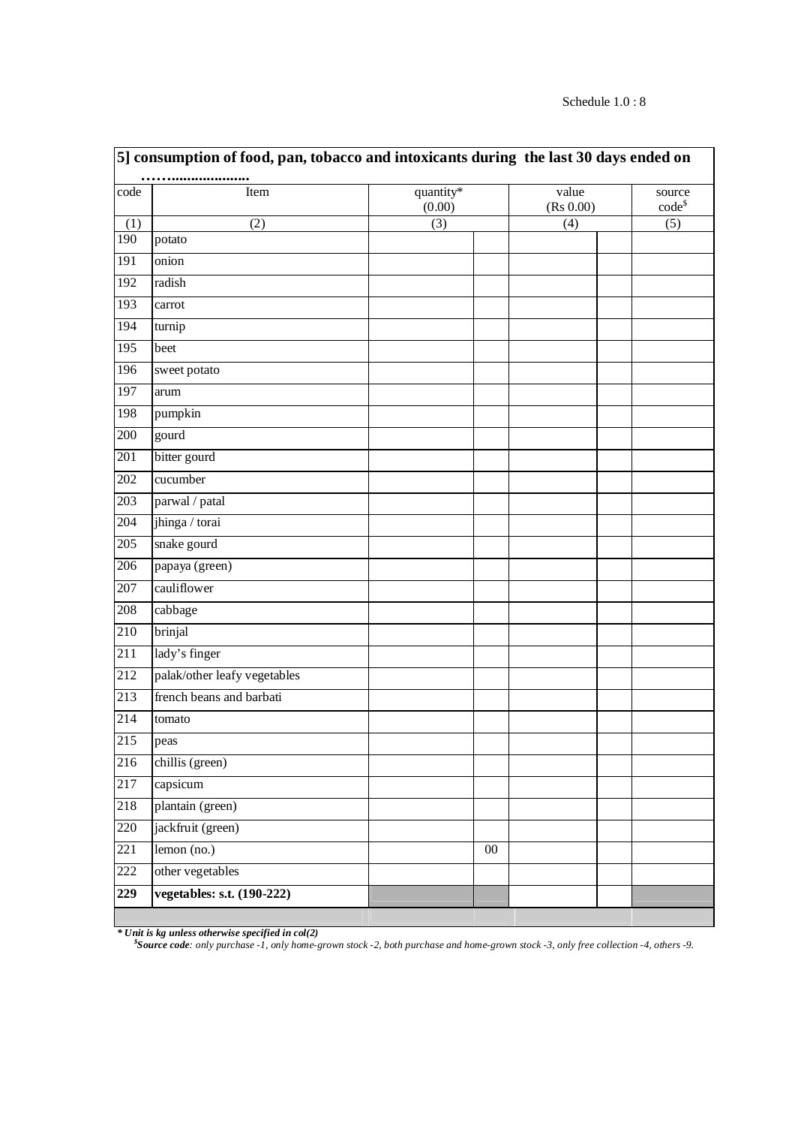|                  | 5] consumption of food, pan, tobacco and intoxicants during the last 30 days ended on |                     |        |                    |                       |  |  |  |  |  |  |
|------------------|---------------------------------------------------------------------------------------|---------------------|--------|--------------------|-----------------------|--|--|--|--|--|--|
| code             | Item                                                                                  | quantity*<br>(0.00) |        | value<br>(Rs 0.00) | source<br>$code^{\$}$ |  |  |  |  |  |  |
| (1)              | (2)                                                                                   | (3)                 |        | (4)                | (5)                   |  |  |  |  |  |  |
| 190              | potato                                                                                |                     |        |                    |                       |  |  |  |  |  |  |
| 191              | onion                                                                                 |                     |        |                    |                       |  |  |  |  |  |  |
| 192              | radish                                                                                |                     |        |                    |                       |  |  |  |  |  |  |
| 193              | carrot                                                                                |                     |        |                    |                       |  |  |  |  |  |  |
| 194              | turnip                                                                                |                     |        |                    |                       |  |  |  |  |  |  |
| 195              | beet                                                                                  |                     |        |                    |                       |  |  |  |  |  |  |
| 196              | sweet potato                                                                          |                     |        |                    |                       |  |  |  |  |  |  |
| 197              | arum                                                                                  |                     |        |                    |                       |  |  |  |  |  |  |
| 198              | pumpkin                                                                               |                     |        |                    |                       |  |  |  |  |  |  |
| 200              | gourd                                                                                 |                     |        |                    |                       |  |  |  |  |  |  |
| 201              | bitter gourd                                                                          |                     |        |                    |                       |  |  |  |  |  |  |
| 202              | cucumber                                                                              |                     |        |                    |                       |  |  |  |  |  |  |
| 203              | parwal / patal                                                                        |                     |        |                    |                       |  |  |  |  |  |  |
| 204              | jhinga / torai                                                                        |                     |        |                    |                       |  |  |  |  |  |  |
| 205              | snake gourd                                                                           |                     |        |                    |                       |  |  |  |  |  |  |
| 206              | papaya (green)                                                                        |                     |        |                    |                       |  |  |  |  |  |  |
| 207              | cauliflower                                                                           |                     |        |                    |                       |  |  |  |  |  |  |
| 208              | cabbage                                                                               |                     |        |                    |                       |  |  |  |  |  |  |
| $\overline{210}$ | brinjal                                                                               |                     |        |                    |                       |  |  |  |  |  |  |
| $\overline{211}$ | lady's finger                                                                         |                     |        |                    |                       |  |  |  |  |  |  |
| 212              | palak/other leafy vegetables                                                          |                     |        |                    |                       |  |  |  |  |  |  |
| 213              | french beans and barbati                                                              |                     |        |                    |                       |  |  |  |  |  |  |
| 214              | tomato                                                                                |                     |        |                    |                       |  |  |  |  |  |  |
| 215              | peas                                                                                  |                     |        |                    |                       |  |  |  |  |  |  |
| $\overline{216}$ | chillis (green)                                                                       |                     |        |                    |                       |  |  |  |  |  |  |
| 217              | capsicum                                                                              |                     |        |                    |                       |  |  |  |  |  |  |
| 218              | plantain (green)                                                                      |                     |        |                    |                       |  |  |  |  |  |  |
| 220              | jackfruit (green)                                                                     |                     |        |                    |                       |  |  |  |  |  |  |
| 221              | $lemon$ (no.)                                                                         |                     | $00\,$ |                    |                       |  |  |  |  |  |  |
| 222              | other vegetables                                                                      |                     |        |                    |                       |  |  |  |  |  |  |
| 229              | vegetables: s.t. (190-222)                                                            |                     |        |                    |                       |  |  |  |  |  |  |
|                  |                                                                                       |                     |        |                    |                       |  |  |  |  |  |  |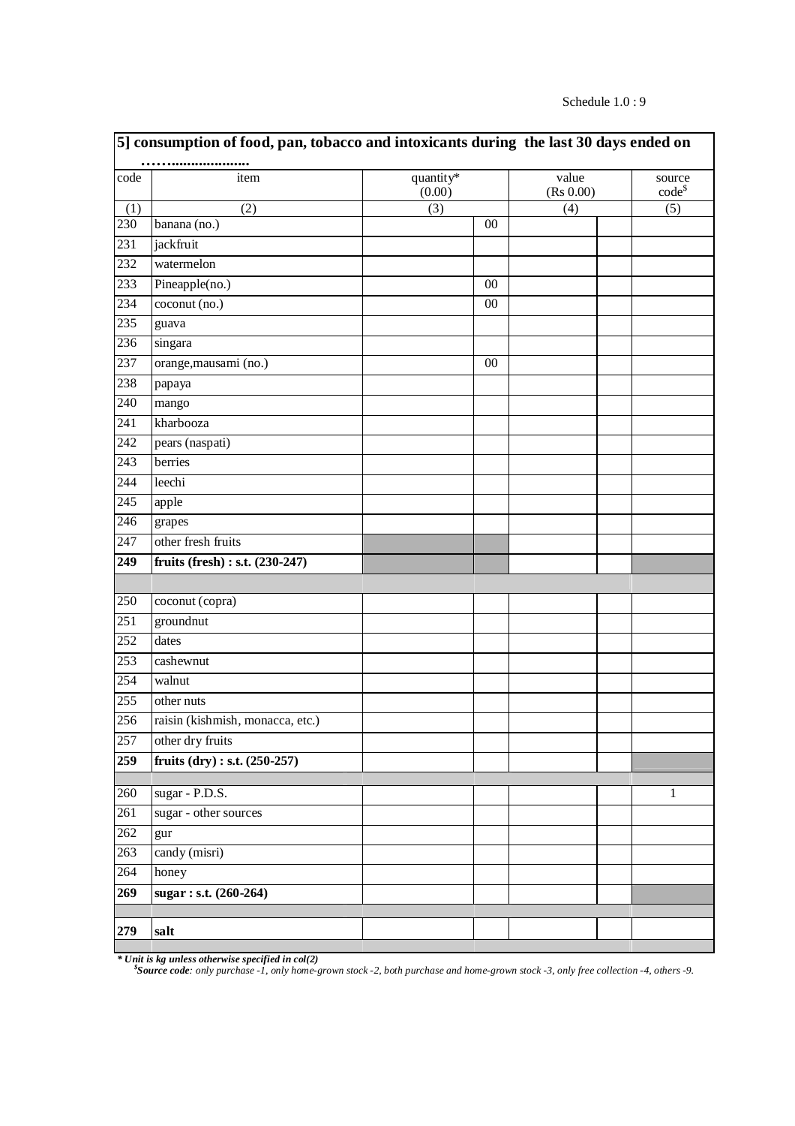### Schedule 1.0 : 9

|                  | 5] consumption of food, pan, tobacco and intoxicants during the last 30 days ended on |                     |        |                    |                       |
|------------------|---------------------------------------------------------------------------------------|---------------------|--------|--------------------|-----------------------|
| code             | item                                                                                  | quantity*<br>(0.00) |        | value<br>(Rs 0.00) | source<br>$code^{\$}$ |
| (1)              | (2)                                                                                   | (3)                 |        | (4)                | (5)                   |
| 230              | banana (no.)                                                                          |                     | $00\,$ |                    |                       |
| 231              | jackfruit                                                                             |                     |        |                    |                       |
| $\overline{232}$ | watermelon                                                                            |                     |        |                    |                       |
| 233              | Pineapple(no.)                                                                        |                     | 00     |                    |                       |
| 234              | coconut (no.)                                                                         |                     | $00\,$ |                    |                       |
| 235              | guava                                                                                 |                     |        |                    |                       |
| 236              | singara                                                                               |                     |        |                    |                       |
| 237              | orange, mausami (no.)                                                                 |                     | $00\,$ |                    |                       |
| 238              | papaya                                                                                |                     |        |                    |                       |
| 240              | mango                                                                                 |                     |        |                    |                       |
| $\overline{241}$ | kharbooza                                                                             |                     |        |                    |                       |
| 242              | pears (naspati)                                                                       |                     |        |                    |                       |
| $\overline{243}$ | berries                                                                               |                     |        |                    |                       |
| 244              | leechi                                                                                |                     |        |                    |                       |
| $\overline{245}$ | apple                                                                                 |                     |        |                    |                       |
| 246              | grapes                                                                                |                     |        |                    |                       |
| 247              | other fresh fruits                                                                    |                     |        |                    |                       |
| 249              | fruits (fresh) : s.t. (230-247)                                                       |                     |        |                    |                       |
|                  |                                                                                       |                     |        |                    |                       |
| 250              | coconut (copra)                                                                       |                     |        |                    |                       |
| 251              | groundnut                                                                             |                     |        |                    |                       |
| 252              | dates                                                                                 |                     |        |                    |                       |
| $\overline{253}$ | $\overline{\text{cash}}$                                                              |                     |        |                    |                       |
| 254              | walnut                                                                                |                     |        |                    |                       |
| 255              | other nuts                                                                            |                     |        |                    |                       |
| 256              | raisin (kishmish, monacca, etc.)                                                      |                     |        |                    |                       |
| 257              | other dry fruits                                                                      |                     |        |                    |                       |
| 259              | fruits $(dry) : s.t. (250-257)$                                                       |                     |        |                    |                       |
|                  |                                                                                       |                     |        |                    |                       |
| 260              | sugar - P.D.S.                                                                        |                     |        |                    | 1                     |
| 261              | sugar - other sources                                                                 |                     |        |                    |                       |
| 262              | gur                                                                                   |                     |        |                    |                       |
| 263              | candy (misri)                                                                         |                     |        |                    |                       |
| 264              | honey                                                                                 |                     |        |                    |                       |
| 269              | sugar: s.t. (260-264)                                                                 |                     |        |                    |                       |
|                  |                                                                                       |                     |        |                    |                       |
| 279              | salt                                                                                  |                     |        |                    |                       |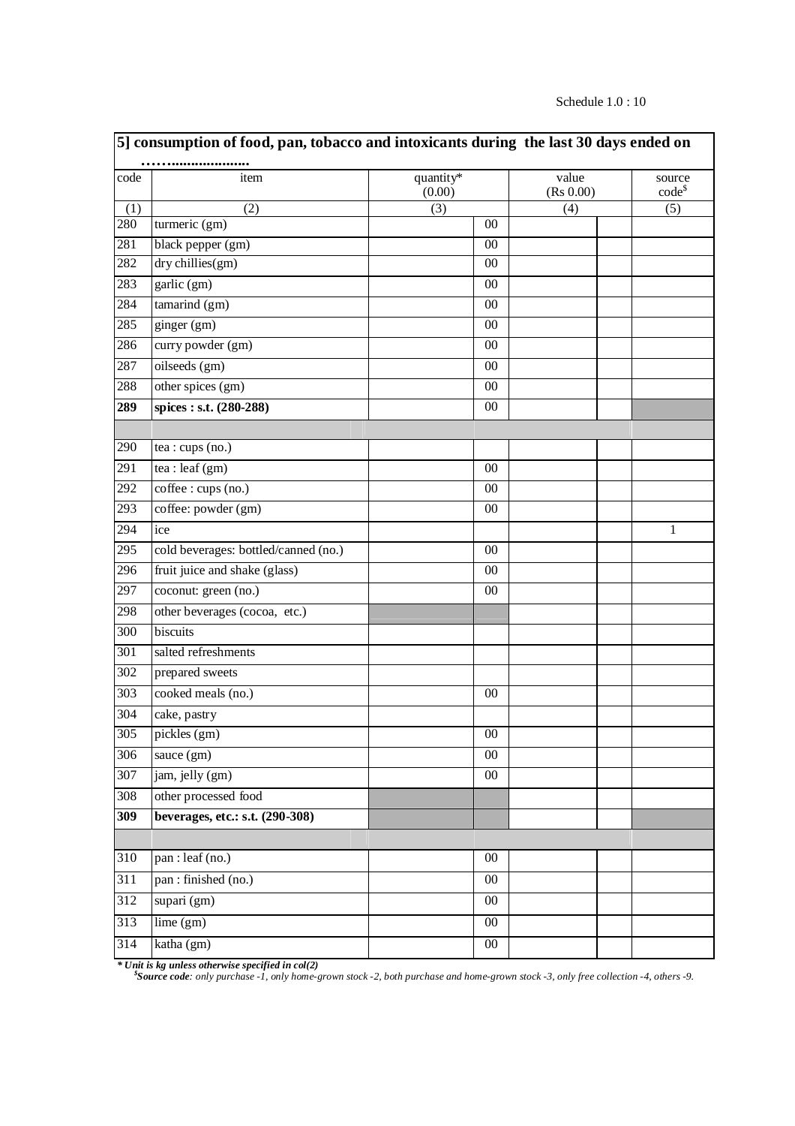| Schedule $1.0:10$ |
|-------------------|
|-------------------|

|                  | 5] consumption of food, pan, tobacco and intoxicants during the last 30 days ended on |                     |                    |                       |  |
|------------------|---------------------------------------------------------------------------------------|---------------------|--------------------|-----------------------|--|
| code             | item                                                                                  | quantity*<br>(0.00) | value<br>(Rs 0.00) | source<br>$code^{\$}$ |  |
| (1)              | (2)                                                                                   | (3)                 | (4)                | (5)                   |  |
| 280              | turmeric (gm)                                                                         | $00\,$              |                    |                       |  |
| 281              | black pepper (gm)                                                                     | 00                  |                    |                       |  |
| 282              | dry chillies(gm)                                                                      | 00                  |                    |                       |  |
| 283              | $\overline{garlic(gm)}$                                                               | 00                  |                    |                       |  |
| 284              | tamarind (gm)                                                                         | $00\,$              |                    |                       |  |
| 285              | ginger (gm)                                                                           | 00                  |                    |                       |  |
| 286              | curry powder (gm)                                                                     | $00\,$              |                    |                       |  |
| 287              | oilseeds (gm)                                                                         | $00\,$              |                    |                       |  |
| 288              | other spices (gm)                                                                     | $00\,$              |                    |                       |  |
| 289              | spices: s.t. (280-288)                                                                | $00\,$              |                    |                       |  |
|                  |                                                                                       |                     |                    |                       |  |
| 290              | tea : cups (no.)                                                                      |                     |                    |                       |  |
| $\overline{291}$ | tea : leaf $(gm)$                                                                     | 00                  |                    |                       |  |
| 292              | coffee : cups (no.)                                                                   | $00\,$              |                    |                       |  |
| 293              | coffee: powder (gm)                                                                   | $00\,$              |                    |                       |  |
| 294              | ice                                                                                   |                     |                    | $\mathbf{1}$          |  |
| 295              | cold beverages: bottled/canned (no.)                                                  | $00\,$              |                    |                       |  |
| $\frac{296}{ }$  | fruit juice and shake (glass)                                                         | 00                  |                    |                       |  |
| 297              | coconut: green (no.)                                                                  | $00\,$              |                    |                       |  |
| 298              | other beverages (cocoa, etc.)                                                         |                     |                    |                       |  |
| 300              | biscuits                                                                              |                     |                    |                       |  |
| $\overline{301}$ | salted refreshments                                                                   |                     |                    |                       |  |
| 302              | prepared sweets                                                                       |                     |                    |                       |  |
| $\overline{303}$ | cooked meals (no.)                                                                    | $00\,$              |                    |                       |  |
| 304              | cake, pastry                                                                          |                     |                    |                       |  |
| 305              | pickles (gm)                                                                          | $00\,$              |                    |                       |  |
| $\overline{306}$ | sauce $(gm)$                                                                          | $00\,$              |                    |                       |  |
| 307              | jam, jelly (gm)                                                                       | $00\,$              |                    |                       |  |
| 308              | other processed food                                                                  |                     |                    |                       |  |
| 309              | beverages, etc.: s.t. (290-308)                                                       |                     |                    |                       |  |
|                  |                                                                                       |                     |                    |                       |  |
| 310              | pan : leaf (no.)                                                                      | $00\,$              |                    |                       |  |
| 311              | pan : finished (no.)                                                                  | $00\,$              |                    |                       |  |
| 312              | supari (gm)                                                                           | $00\,$              |                    |                       |  |
| $\overline{313}$ | lime (gm)                                                                             | $00\,$              |                    |                       |  |
| $\overline{314}$ | katha (gm)                                                                            | $00\,$              |                    |                       |  |
|                  |                                                                                       |                     |                    |                       |  |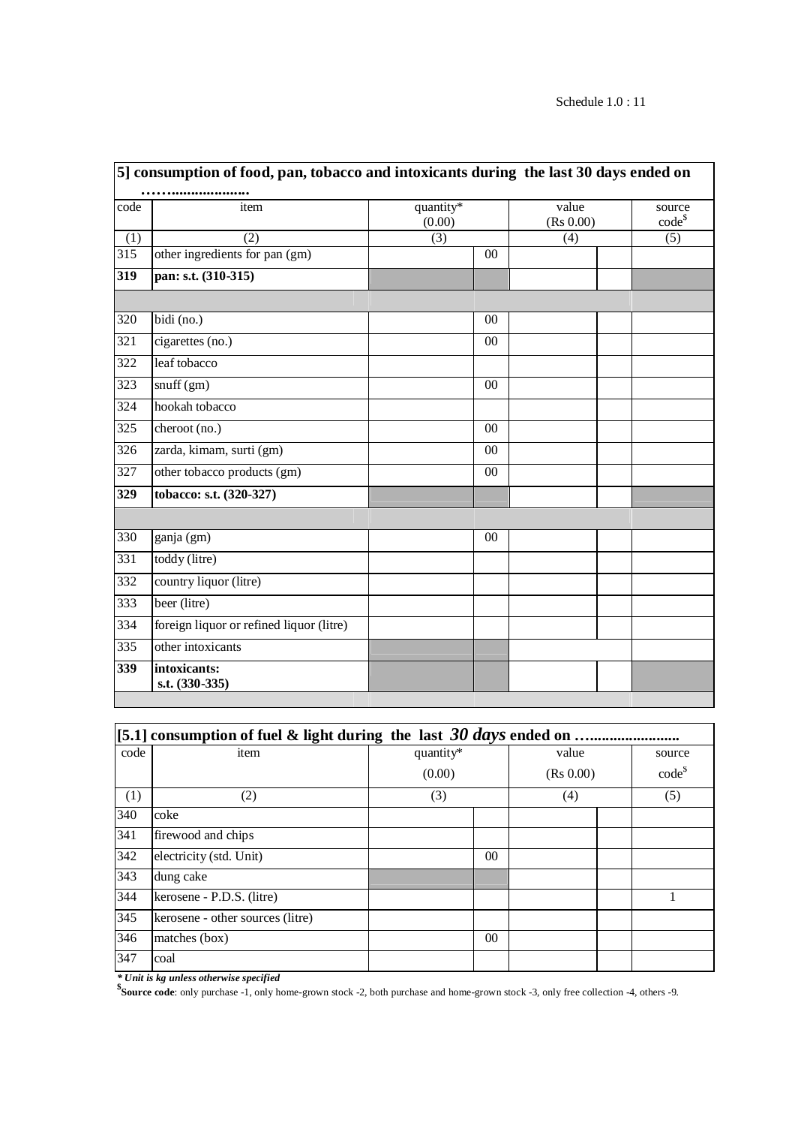| code             | item                                     | quantity*<br>(0.00) |                | value<br>(Rs 0.00) |  | source<br>$code^s$ |  |
|------------------|------------------------------------------|---------------------|----------------|--------------------|--|--------------------|--|
| (1)              | (2)                                      | (3)                 |                | (4)                |  | (5)                |  |
| $\overline{315}$ | other ingredients for pan (gm)           |                     | $00\,$         |                    |  |                    |  |
| $\overline{319}$ | pan: s.t. (310-315)                      |                     |                |                    |  |                    |  |
| 320              | bidi (no.)                               |                     | 0 <sup>0</sup> |                    |  |                    |  |
| $\overline{321}$ | cigarettes (no.)                         |                     | $00\,$         |                    |  |                    |  |
| 322              | leaf tobacco                             |                     |                |                    |  |                    |  |
| 323              | snuff(gm)                                |                     | $00\,$         |                    |  |                    |  |
| 324              | hookah tobacco                           |                     |                |                    |  |                    |  |
| $\frac{1}{325}$  | cheroot (no.)                            |                     | 00             |                    |  |                    |  |
| $\frac{1}{326}$  | zarda, kimam, surti (gm)                 |                     | 00             |                    |  |                    |  |
| 327              | other tobacco products (gm)              |                     | 00             |                    |  |                    |  |
| 329              | tobacco: s.t. (320-327)                  |                     |                |                    |  |                    |  |
|                  |                                          |                     |                |                    |  |                    |  |
| 330              | ganja (gm)                               |                     | $00\,$         |                    |  |                    |  |
| 331              | toddy (litre)                            |                     |                |                    |  |                    |  |
| 332              | country liquor (litre)                   |                     |                |                    |  |                    |  |
| 333              | beer (litre)                             |                     |                |                    |  |                    |  |
| 334              | foreign liquor or refined liquor (litre) |                     |                |                    |  |                    |  |
| $\overline{335}$ | other intoxicants                        |                     |                |                    |  |                    |  |
| 339              | intoxicants:<br>s.t. (330-335)           |                     |                |                    |  |                    |  |

| [5.1] consumption of fuel & light during the last 30 days ended on |                                  |           |                |       |  |             |  |  |  |  |
|--------------------------------------------------------------------|----------------------------------|-----------|----------------|-------|--|-------------|--|--|--|--|
| code                                                               | item                             | quantity* |                | value |  | source      |  |  |  |  |
|                                                                    |                                  | (0.00)    |                |       |  | $code^{\$}$ |  |  |  |  |
| (1)                                                                | (2)                              | (3)       |                | (4)   |  | (5)         |  |  |  |  |
| 340                                                                | coke                             |           |                |       |  |             |  |  |  |  |
| 341                                                                | firewood and chips               |           |                |       |  |             |  |  |  |  |
| 342                                                                | electricity (std. Unit)          |           | 0 <sup>0</sup> |       |  |             |  |  |  |  |
| 343                                                                | dung cake                        |           |                |       |  |             |  |  |  |  |
| 344                                                                | kerosene - P.D.S. (litre)        |           |                |       |  |             |  |  |  |  |
| 345                                                                | kerosene - other sources (litre) |           |                |       |  |             |  |  |  |  |
| 346                                                                | matches (box)                    |           | 0 <sup>0</sup> |       |  |             |  |  |  |  |
| 347                                                                | coal                             |           |                |       |  |             |  |  |  |  |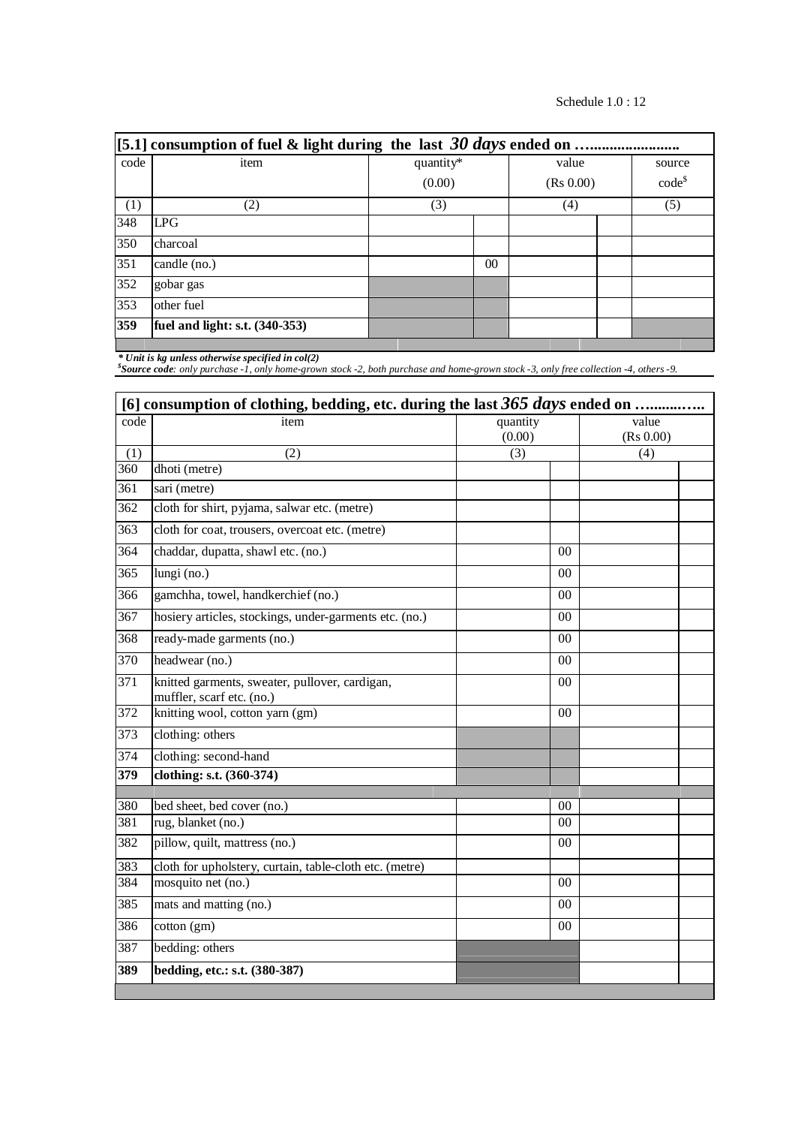| [5.1] consumption of fuel & light during the last $30 \, days$ ended on. |                                  |           |                 |       |  |             |  |  |  |  |  |
|--------------------------------------------------------------------------|----------------------------------|-----------|-----------------|-------|--|-------------|--|--|--|--|--|
| code                                                                     | item                             | quantity* |                 | value |  | source      |  |  |  |  |  |
|                                                                          |                                  | (0.00)    |                 |       |  | $code^{\$}$ |  |  |  |  |  |
| (1)                                                                      | (2)                              | (3)       |                 | (4)   |  | (5)         |  |  |  |  |  |
| 348                                                                      | LPG                              |           |                 |       |  |             |  |  |  |  |  |
| 350                                                                      | charcoal                         |           |                 |       |  |             |  |  |  |  |  |
| 351                                                                      | candle (no.)                     |           | 00 <sup>0</sup> |       |  |             |  |  |  |  |  |
| 352                                                                      | gobar gas                        |           |                 |       |  |             |  |  |  |  |  |
| 353                                                                      | other fuel                       |           |                 |       |  |             |  |  |  |  |  |
| 359                                                                      | fuel and light: s.t. $(340-353)$ |           |                 |       |  |             |  |  |  |  |  |
|                                                                          |                                  |           |                 |       |  |             |  |  |  |  |  |

|                  | [6] consumption of clothing, bedding, etc. during the last 365 days ended on |                    |                    |  |  |  |  |  |  |
|------------------|------------------------------------------------------------------------------|--------------------|--------------------|--|--|--|--|--|--|
| code             | item                                                                         | quantity<br>(0.00) | value<br>(Rs 0.00) |  |  |  |  |  |  |
| (1)              | (2)                                                                          | (3)                | (4)                |  |  |  |  |  |  |
| $\overline{360}$ | dhoti (metre)                                                                |                    |                    |  |  |  |  |  |  |
| $\overline{361}$ | sari (metre)                                                                 |                    |                    |  |  |  |  |  |  |
| 362              | cloth for shirt, pyjama, salwar etc. (metre)                                 |                    |                    |  |  |  |  |  |  |
| $\frac{1}{363}$  | cloth for coat, trousers, overcoat etc. (metre)                              |                    |                    |  |  |  |  |  |  |
| $\overline{364}$ | chaddar, dupatta, shawl etc. (no.)                                           | 0 <sub>0</sub>     |                    |  |  |  |  |  |  |
| 365              | lungi (no.)                                                                  | $00\,$             |                    |  |  |  |  |  |  |
| 366              | gamchha, towel, handkerchief (no.)                                           | 00                 |                    |  |  |  |  |  |  |
| $\overline{367}$ | hosiery articles, stockings, under-garments etc. (no.)                       | 0 <sub>0</sub>     |                    |  |  |  |  |  |  |
| 368              | ready-made garments (no.)                                                    | 00                 |                    |  |  |  |  |  |  |
| 370              | headwear (no.)                                                               | 0 <sup>0</sup>     |                    |  |  |  |  |  |  |
| 371              | knitted garments, sweater, pullover, cardigan,<br>muffler, scarf etc. (no.)  | 00                 |                    |  |  |  |  |  |  |
| 372              | knitting wool, cotton yarn (gm)                                              | 00                 |                    |  |  |  |  |  |  |
| $\overline{373}$ | clothing: others                                                             |                    |                    |  |  |  |  |  |  |
| 374              | clothing: second-hand                                                        |                    |                    |  |  |  |  |  |  |
| 379              | clothing: s.t. (360-374)                                                     |                    |                    |  |  |  |  |  |  |
| 380              | bed sheet, bed cover (no.)                                                   | 00                 |                    |  |  |  |  |  |  |
| 381              | rug, blanket (no.)                                                           | 00                 |                    |  |  |  |  |  |  |
| 382              | pillow, quilt, mattress (no.)                                                | 00                 |                    |  |  |  |  |  |  |
| 383              | cloth for upholstery, curtain, table-cloth etc. (metre)                      |                    |                    |  |  |  |  |  |  |
| 384              | mosquito net (no.)                                                           | 0 <sub>0</sub>     |                    |  |  |  |  |  |  |
| $\overline{385}$ | mats and matting (no.)                                                       | 0 <sub>0</sub>     |                    |  |  |  |  |  |  |
| 386              | $\cot$ (gm)                                                                  | 00                 |                    |  |  |  |  |  |  |
| 387              | bedding: others                                                              |                    |                    |  |  |  |  |  |  |
| 389              | bedding, etc.: s.t. (380-387)                                                |                    |                    |  |  |  |  |  |  |
|                  |                                                                              |                    |                    |  |  |  |  |  |  |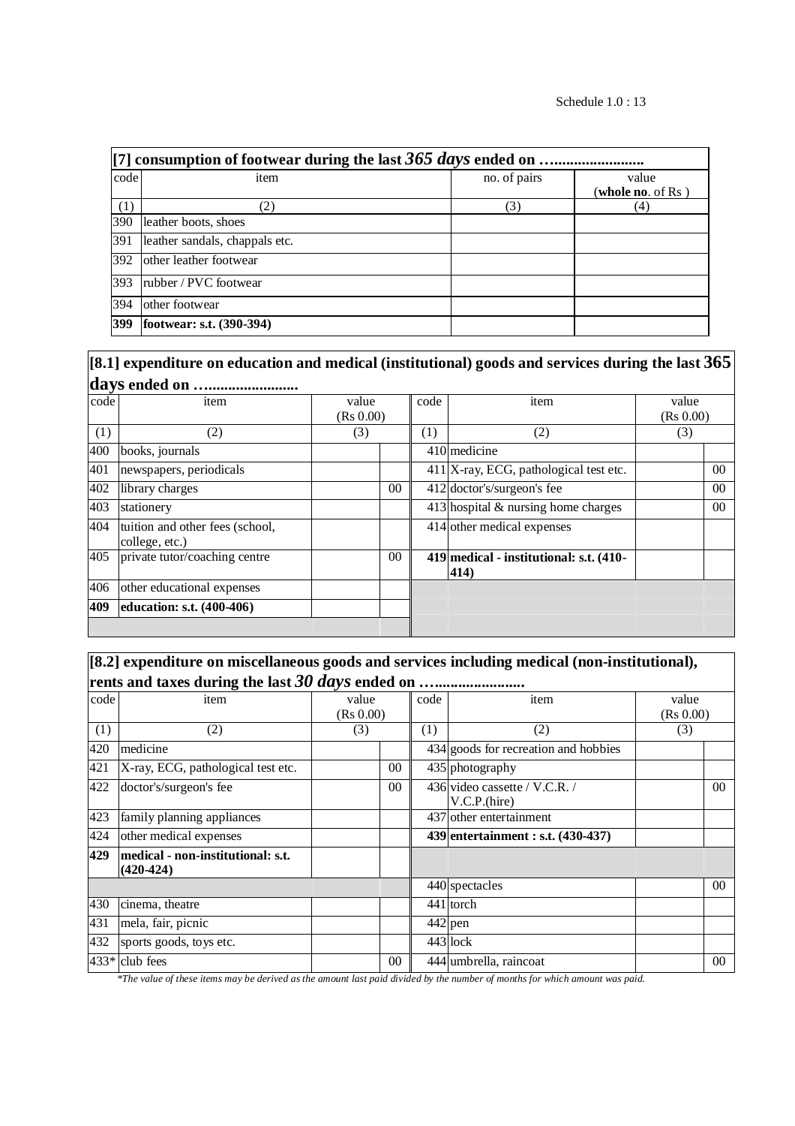| code | item                           | no. of pairs | value<br>( <b>whole no</b> . of Rs ) |  |  |  |  |  |  |
|------|--------------------------------|--------------|--------------------------------------|--|--|--|--|--|--|
| (1)  | (2)                            | (3)          | (4)                                  |  |  |  |  |  |  |
| 390  | leather boots, shoes           |              |                                      |  |  |  |  |  |  |
| 391  | leather sandals, chappals etc. |              |                                      |  |  |  |  |  |  |
| 392  | other leather footwear         |              |                                      |  |  |  |  |  |  |
| 393  | rubber / PVC footwear          |              |                                      |  |  |  |  |  |  |
| 394  | other footwear                 |              |                                      |  |  |  |  |  |  |
| 399  | footwear: s.t. (390-394)       |              |                                      |  |  |  |  |  |  |

# **[8.1] expenditure on education and medical (institutional) goods and services during the last 365 days ended on ….......................**

| $- - -$ ., $\sim$ |                                                   |                 |      |                                                 |                |
|-------------------|---------------------------------------------------|-----------------|------|-------------------------------------------------|----------------|
| code              | item                                              | value           | code | item                                            | value          |
|                   |                                                   | (Rs 0.00)       |      |                                                 | (Rs 0.00)      |
| (1)               | (2)                                               | (3)             | (1)  | (2)                                             | (3)            |
| 400               | books, journals                                   |                 |      | 410 medicine                                    |                |
| 401               | newspapers, periodicals                           |                 |      | $411$  X-ray, ECG, pathological test etc.       | 0 <sup>0</sup> |
| 402               | library charges                                   | 00 <sup>°</sup> |      | 412 doctor's/surgeon's fee                      | 0 <sup>0</sup> |
| 403               | stationery                                        |                 |      | $413$ hospital & nursing home charges           | 0 <sup>0</sup> |
| 404               | tuition and other fees (school,<br>college, etc.) |                 |      | 414 other medical expenses                      |                |
| 405               | private tutor/coaching centre                     | $00\,$          |      | 419 medical - institutional: s.t. (410-<br>414) |                |
| 406               | other educational expenses                        |                 |      |                                                 |                |
| 409               | education: s.t. $(400-406)$                       |                 |      |                                                 |                |
|                   |                                                   |                 |      |                                                 |                |

# **[8.2] expenditure on miscellaneous goods and services including medical (non-institutional), rents and taxes during the last** *30 days* **ended on ….......................**

|      | rend and macs uning the motov ways ended on communismo |                    |      |                                                |                    |  |  |  |  |
|------|--------------------------------------------------------|--------------------|------|------------------------------------------------|--------------------|--|--|--|--|
| code | item                                                   | value<br>(Rs 0.00) | code | item                                           | value<br>(Rs 0.00) |  |  |  |  |
| (1)  | (2)                                                    | (3)                | (1)  | (2)                                            | (3)                |  |  |  |  |
| 420  | medicine                                               |                    |      | 434 goods for recreation and hobbies           |                    |  |  |  |  |
| 421  | X-ray, ECG, pathological test etc.                     | 00 <sup>°</sup>    |      | 435 photography                                |                    |  |  |  |  |
| 422  | doctor's/surgeon's fee                                 | 00 <sup>1</sup>    |      | 436 video cassette / V.C.R. /<br>V.C.P. (hire) | 0 <sup>0</sup>     |  |  |  |  |
| 423  | family planning appliances                             |                    |      | 437 other entertainment                        |                    |  |  |  |  |
| 424  | other medical expenses                                 |                    |      | 439 entertainment : s.t. (430-437)             |                    |  |  |  |  |
| 429  | medical - non-institutional: s.t.<br>$(420-424)$       |                    |      |                                                |                    |  |  |  |  |
|      |                                                        |                    |      | 440 spectacles                                 | 0 <sup>0</sup>     |  |  |  |  |
| 430  | cinema, theatre                                        |                    |      | 441 torch                                      |                    |  |  |  |  |
| 431  | mela, fair, picnic                                     |                    |      | $442$ pen                                      |                    |  |  |  |  |
| 432  | sports goods, toys etc.                                |                    |      | $443$ lock                                     |                    |  |  |  |  |
|      | $433*$ club fees                                       | $00\,$             |      | 444 umbrella, raincoat                         | 0 <sup>0</sup>     |  |  |  |  |

*\*The value of these items may be derived as the amount last paid divided by the number of months for which amount was paid.*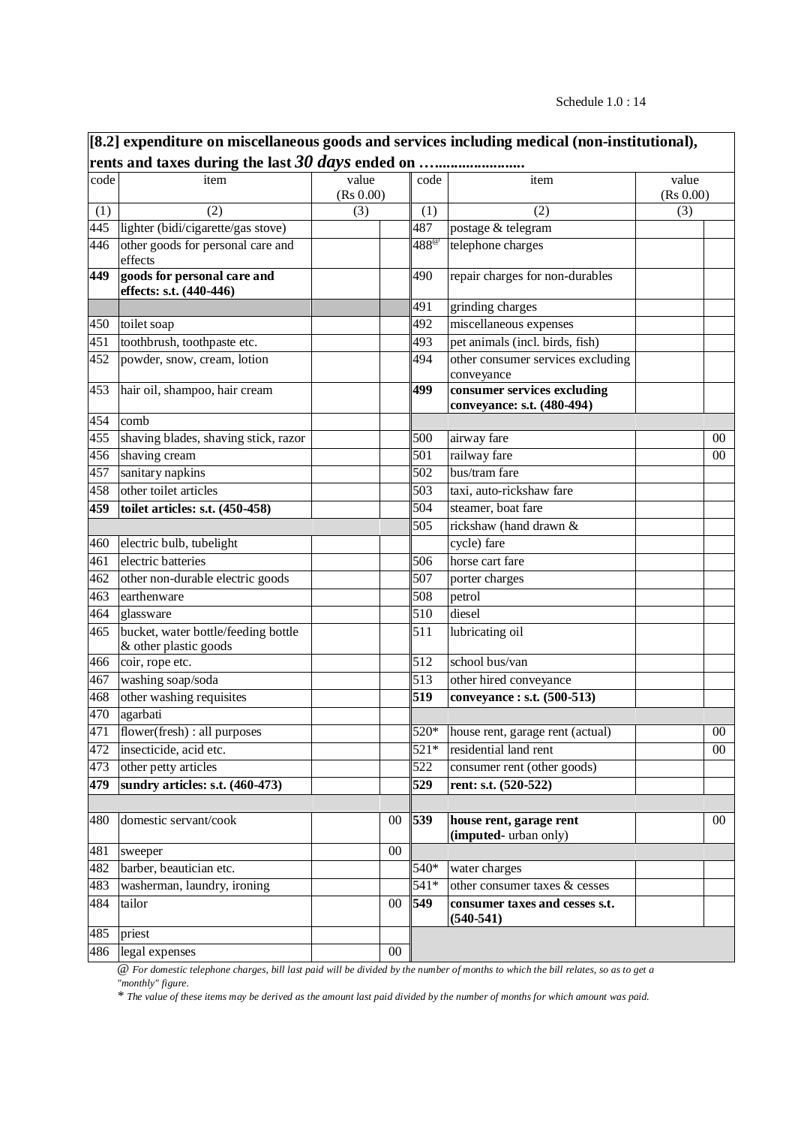|            | [8.2] expenditure on miscellaneous goods and services including medical (non-institutional), |           |        |             |                                                           |           |        |  |  |  |
|------------|----------------------------------------------------------------------------------------------|-----------|--------|-------------|-----------------------------------------------------------|-----------|--------|--|--|--|
|            |                                                                                              |           |        |             |                                                           |           |        |  |  |  |
| code       | item                                                                                         | value     |        | code        | item                                                      | value     |        |  |  |  |
|            | (2)                                                                                          | (Rs 0.00) |        |             | (2)                                                       | (Rs 0.00) |        |  |  |  |
| (1)<br>445 | lighter (bidi/cigarette/gas stove)                                                           | (3)       |        | (1)<br>487  | postage & telegram                                        | (3)       |        |  |  |  |
| 446        | other goods for personal care and                                                            |           |        | $488^\circ$ | telephone charges                                         |           |        |  |  |  |
|            | effects                                                                                      |           |        |             |                                                           |           |        |  |  |  |
| 449        | goods for personal care and<br>effects: s.t. (440-446)                                       |           |        | 490         | repair charges for non-durables                           |           |        |  |  |  |
|            |                                                                                              |           |        | 491         | grinding charges                                          |           |        |  |  |  |
| 450        | toilet soap                                                                                  |           |        | 492         | miscellaneous expenses                                    |           |        |  |  |  |
| 451        | toothbrush, toothpaste etc.                                                                  |           |        | 493         | pet animals (incl. birds, fish)                           |           |        |  |  |  |
| 452        | powder, snow, cream, lotion                                                                  |           |        | 494         | other consumer services excluding<br>conveyance           |           |        |  |  |  |
| 453        | hair oil, shampoo, hair cream                                                                |           |        | 499         | consumer services excluding<br>conveyance: s.t. (480-494) |           |        |  |  |  |
| 454        | comb                                                                                         |           |        |             |                                                           |           |        |  |  |  |
| 455        | shaving blades, shaving stick, razor                                                         |           |        | 500         | airway fare                                               |           | 00     |  |  |  |
| 456        | shaving cream                                                                                |           |        | 501         | railway fare                                              |           | 00     |  |  |  |
| 457        | sanitary napkins                                                                             |           |        | 502         | bus/tram fare                                             |           |        |  |  |  |
| 458        | other toilet articles                                                                        |           |        | 503         | taxi, auto-rickshaw fare                                  |           |        |  |  |  |
| 459        | toilet articles: s.t. (450-458)                                                              |           |        | 504         | steamer, boat fare                                        |           |        |  |  |  |
|            |                                                                                              |           |        | 505         | rickshaw (hand drawn &                                    |           |        |  |  |  |
| 460        | electric bulb, tubelight                                                                     |           |        |             | cycle) fare                                               |           |        |  |  |  |
| 461        | electric batteries                                                                           |           |        | 506         | horse cart fare                                           |           |        |  |  |  |
| 462        | other non-durable electric goods                                                             |           |        | 507         | porter charges                                            |           |        |  |  |  |
| 463        | earthenware                                                                                  |           |        | 508         | petrol                                                    |           |        |  |  |  |
| 464        | glassware                                                                                    |           |        | 510         | diesel                                                    |           |        |  |  |  |
| 465        | bucket, water bottle/feeding bottle<br>& other plastic goods                                 |           |        | 511         | lubricating oil                                           |           |        |  |  |  |
| 466        | coir, rope etc.                                                                              |           |        | 512         | school bus/van                                            |           |        |  |  |  |
| 467        | washing soap/soda                                                                            |           |        | 513         | other hired conveyance                                    |           |        |  |  |  |
| 468        | other washing requisites                                                                     |           |        | 519         | conveyance : s.t. (500-513)                               |           |        |  |  |  |
| 470        | agarbati                                                                                     |           |        |             |                                                           |           |        |  |  |  |
| 471        | flower(fresh) : all purposes                                                                 |           |        |             | $520*$ house rent, garage rent (actual)                   |           | $00\,$ |  |  |  |
| 472        | insecticide, acid etc.                                                                       |           |        | 521*        | residential land rent                                     |           | $00\,$ |  |  |  |
| 473        | other petty articles                                                                         |           |        | 522         | consumer rent (other goods)                               |           |        |  |  |  |
| 479        | sundry articles: s.t. (460-473)                                                              |           |        | 529         | rent: s.t. (520-522)                                      |           |        |  |  |  |
|            |                                                                                              |           |        |             |                                                           |           |        |  |  |  |
| 480        | domestic servant/cook                                                                        |           | $00\,$ | 539         | house rent, garage rent<br>(imputed-urban only)           |           | $00\,$ |  |  |  |
| 481        | sweeper                                                                                      |           | $00\,$ |             |                                                           |           |        |  |  |  |
| 482        | barber, beautician etc.                                                                      |           |        | 540*        | water charges                                             |           |        |  |  |  |
| 483        | washerman, laundry, ironing                                                                  |           |        | 541*        | other consumer taxes & cesses                             |           |        |  |  |  |
| 484        | tailor                                                                                       |           | $00\,$ | 549         | consumer taxes and cesses s.t.<br>$(540-541)$             |           |        |  |  |  |
| 485        | priest                                                                                       |           |        |             |                                                           |           |        |  |  |  |
| 486        | legal expenses                                                                               |           | $00\,$ |             |                                                           |           |        |  |  |  |

*@ For domestic telephone charges, bill last paid will be divided by the number of months to which the bill relates, so as to get a "monthly" figure.*

*\* The value of these items may be derived as the amount last paid divided by the number of months for which amount was paid.*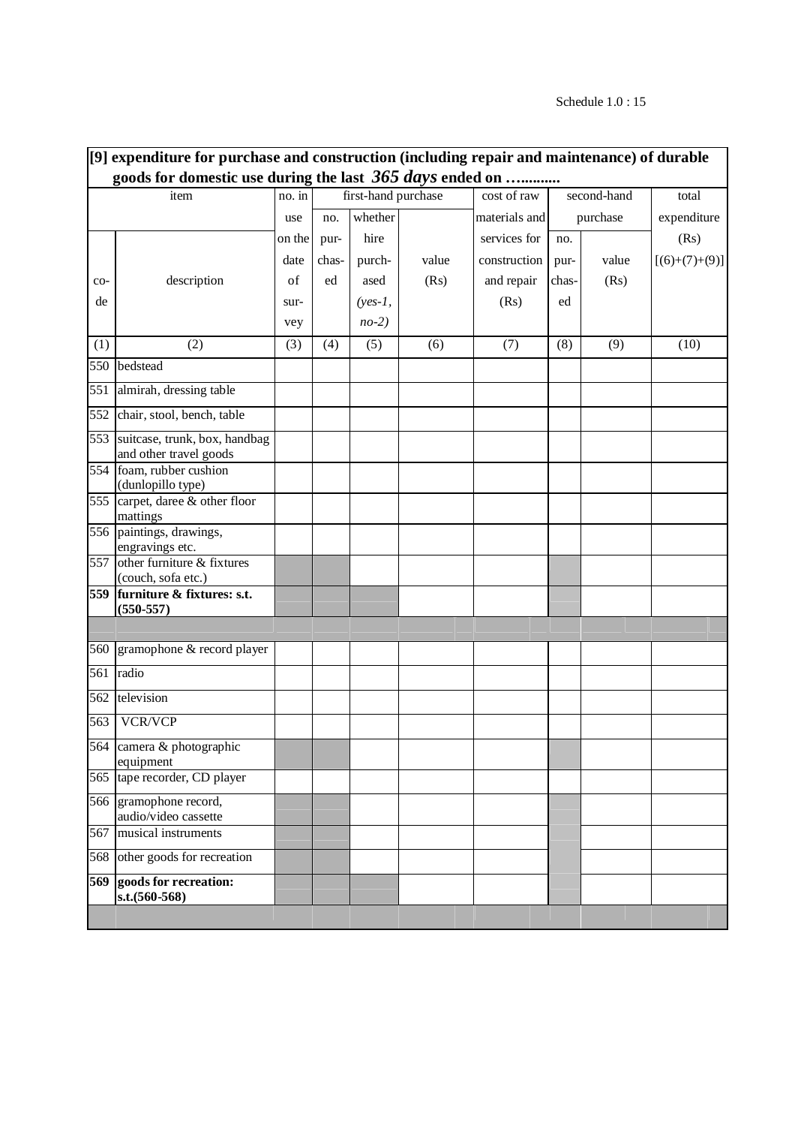|     | [9] expenditure for purchase and construction (including repair and maintenance) of durable |        |       |                     |       |               |       |             |                 |  |
|-----|---------------------------------------------------------------------------------------------|--------|-------|---------------------|-------|---------------|-------|-------------|-----------------|--|
|     | goods for domestic use during the last 365 days ended on                                    |        |       |                     |       |               |       |             |                 |  |
|     | item                                                                                        | no. in |       | first-hand purchase |       | cost of raw   |       | second-hand | total           |  |
|     |                                                                                             | use    | no.   | whether             |       | materials and |       | purchase    | expenditure     |  |
|     |                                                                                             | on the | pur-  | hire                |       | services for  | no.   |             | (Rs)            |  |
|     |                                                                                             | date   | chas- | purch-              | value | construction  | pur-  | value       | $[(6)+(7)+(9)]$ |  |
| co- | description                                                                                 | of     | ed    | ased                | (Rs)  | and repair    | chas- | (Rs)        |                 |  |
| de  |                                                                                             | sur-   |       | $(yes-1,$           |       | (Rs)          | ed    |             |                 |  |
|     |                                                                                             | vey    |       | $no-2)$             |       |               |       |             |                 |  |
| (1) | (2)                                                                                         | (3)    | (4)   | (5)                 | (6)   | (7)           | (8)   | (9)         | (10)            |  |
| 550 | bedstead                                                                                    |        |       |                     |       |               |       |             |                 |  |
| 551 | almirah, dressing table                                                                     |        |       |                     |       |               |       |             |                 |  |
| 552 | chair, stool, bench, table                                                                  |        |       |                     |       |               |       |             |                 |  |
| 553 | suitcase, trunk, box, handbag<br>and other travel goods                                     |        |       |                     |       |               |       |             |                 |  |
| 554 | foam, rubber cushion<br>(dunlopillo type)                                                   |        |       |                     |       |               |       |             |                 |  |
| 555 | carpet, daree & other floor<br>mattings                                                     |        |       |                     |       |               |       |             |                 |  |
|     | 556 paintings, drawings,<br>engravings etc.                                                 |        |       |                     |       |               |       |             |                 |  |
| 557 | other furniture & fixtures<br>(couch, sofa etc.)                                            |        |       |                     |       |               |       |             |                 |  |
| 559 | furniture & fixtures: s.t.<br>$(550 - 557)$                                                 |        |       |                     |       |               |       |             |                 |  |
|     |                                                                                             |        |       |                     |       |               |       |             |                 |  |
| 560 | gramophone & record player                                                                  |        |       |                     |       |               |       |             |                 |  |
| 561 | radio                                                                                       |        |       |                     |       |               |       |             |                 |  |
| 562 | television                                                                                  |        |       |                     |       |               |       |             |                 |  |
| 563 | <b>VCR/VCP</b>                                                                              |        |       |                     |       |               |       |             |                 |  |
|     | 564 camera & photographic<br>equipment                                                      |        |       |                     |       |               |       |             |                 |  |
| 565 | tape recorder, CD player                                                                    |        |       |                     |       |               |       |             |                 |  |
| 566 | gramophone record,<br>audio/video cassette                                                  |        |       |                     |       |               |       |             |                 |  |
| 567 | musical instruments                                                                         |        |       |                     |       |               |       |             |                 |  |
| 568 | other goods for recreation                                                                  |        |       |                     |       |               |       |             |                 |  |
| 569 | goods for recreation:<br>s.t.(560-568)                                                      |        |       |                     |       |               |       |             |                 |  |
|     |                                                                                             |        |       |                     |       |               |       |             |                 |  |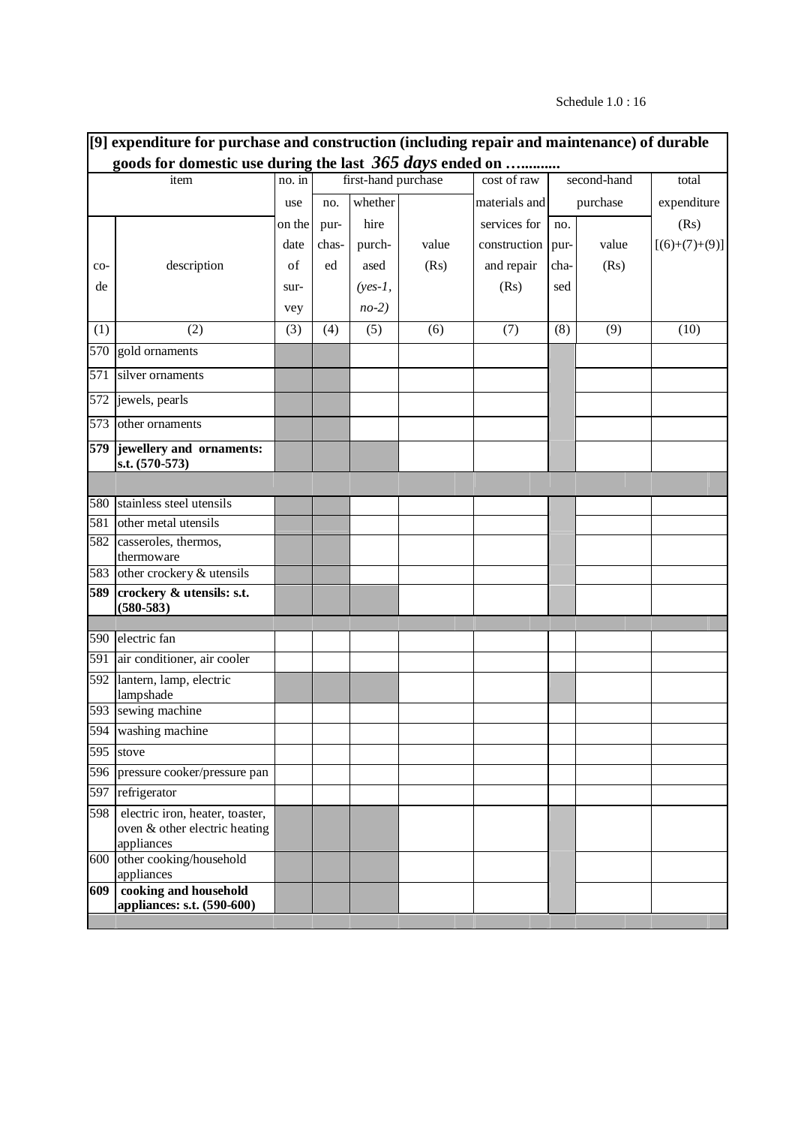# Schedule 1.0 : 16

| [9] expenditure for purchase and construction (including repair and maintenance) of durable |                                                                                |        |       |                     |       |               |             |          |                 |
|---------------------------------------------------------------------------------------------|--------------------------------------------------------------------------------|--------|-------|---------------------|-------|---------------|-------------|----------|-----------------|
|                                                                                             | goods for domestic use during the last 365 days ended on                       |        |       |                     |       |               |             |          |                 |
| item                                                                                        |                                                                                | no. in |       | first-hand purchase |       | cost of raw   | second-hand |          | total           |
|                                                                                             |                                                                                | use    | no.   | whether             |       | materials and |             | purchase | expenditure     |
|                                                                                             |                                                                                | on the | pur-  | hire                |       | services for  | no.         |          | (Rs)            |
|                                                                                             |                                                                                | date   | chas- | purch-              | value | construction  | pur-        | value    | $[(6)+(7)+(9)]$ |
| co-                                                                                         | description                                                                    | of     | ed    | ased                | (Rs)  | and repair    | cha-        | (Rs)     |                 |
| de                                                                                          |                                                                                | sur-   |       | $(yes-1,$           |       | (Rs)          | sed         |          |                 |
|                                                                                             |                                                                                | vey    |       | $no-2)$             |       |               |             |          |                 |
| (1)                                                                                         | (2)                                                                            | (3)    | (4)   | (5)                 | (6)   | (7)           | (8)         | (9)      | (10)            |
| 570                                                                                         | gold ornaments                                                                 |        |       |                     |       |               |             |          |                 |
| 571                                                                                         | silver ornaments                                                               |        |       |                     |       |               |             |          |                 |
| 572                                                                                         | jewels, pearls                                                                 |        |       |                     |       |               |             |          |                 |
| 573                                                                                         | other ornaments                                                                |        |       |                     |       |               |             |          |                 |
| 579                                                                                         | jewellery and ornaments:<br>s.t. (570-573)                                     |        |       |                     |       |               |             |          |                 |
|                                                                                             |                                                                                |        |       |                     |       |               |             |          |                 |
| 580                                                                                         | stainless steel utensils                                                       |        |       |                     |       |               |             |          |                 |
| 581                                                                                         | other metal utensils                                                           |        |       |                     |       |               |             |          |                 |
| 582                                                                                         | casseroles, thermos,                                                           |        |       |                     |       |               |             |          |                 |
|                                                                                             | thermoware<br>583 other crockery & utensils                                    |        |       |                     |       |               |             |          |                 |
| 589                                                                                         | crockery & utensils: s.t.                                                      |        |       |                     |       |               |             |          |                 |
|                                                                                             | $(580 - 583)$                                                                  |        |       |                     |       |               |             |          |                 |
| 590                                                                                         | electric fan                                                                   |        |       |                     |       |               |             |          |                 |
| 591                                                                                         | air conditioner, air cooler                                                    |        |       |                     |       |               |             |          |                 |
| 592                                                                                         | lantern, lamp, electric                                                        |        |       |                     |       |               |             |          |                 |
|                                                                                             | lampshade                                                                      |        |       |                     |       |               |             |          |                 |
|                                                                                             | 593 sewing machine                                                             |        |       |                     |       |               |             |          |                 |
|                                                                                             | 594 washing machine                                                            |        |       |                     |       |               |             |          |                 |
| 595                                                                                         | stove                                                                          |        |       |                     |       |               |             |          |                 |
|                                                                                             | 596 pressure cooker/pressure pan                                               |        |       |                     |       |               |             |          |                 |
| 597                                                                                         | refrigerator                                                                   |        |       |                     |       |               |             |          |                 |
| 598                                                                                         | electric iron, heater, toaster,<br>oven & other electric heating<br>appliances |        |       |                     |       |               |             |          |                 |
| 600                                                                                         | other cooking/household<br>appliances                                          |        |       |                     |       |               |             |          |                 |
| 609                                                                                         | cooking and household<br>appliances: s.t. (590-600)                            |        |       |                     |       |               |             |          |                 |
|                                                                                             |                                                                                |        |       |                     |       |               |             |          |                 |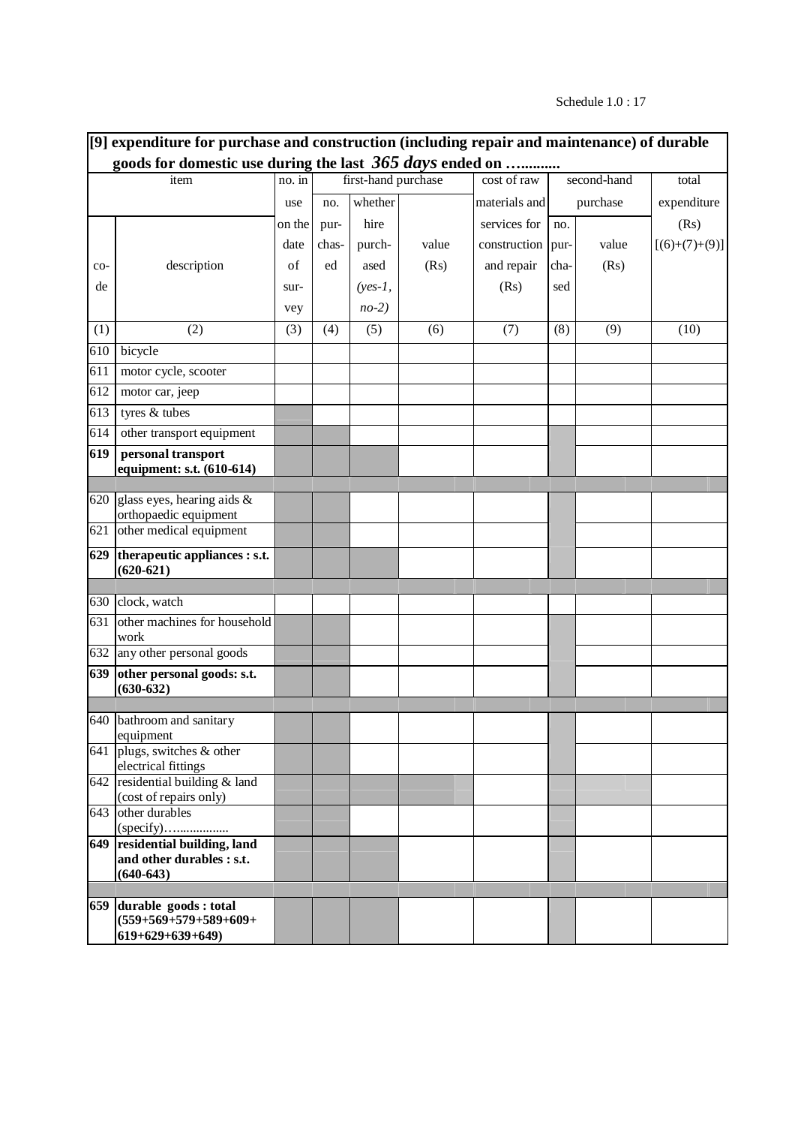# Schedule 1.0 : 17

| [9] expenditure for purchase and construction (including repair and maintenance) of durable |                                                                            |        |       |                     |       |               |             |          |                 |
|---------------------------------------------------------------------------------------------|----------------------------------------------------------------------------|--------|-------|---------------------|-------|---------------|-------------|----------|-----------------|
|                                                                                             | goods for domestic use during the last 365 days ended on                   |        |       |                     |       |               |             |          |                 |
| item                                                                                        |                                                                            | no. in |       | first-hand purchase |       | cost of raw   | second-hand |          | total           |
|                                                                                             |                                                                            | use    | no.   | whether             |       | materials and |             | purchase | expenditure     |
|                                                                                             |                                                                            | on the | pur-  | hire                |       | services for  | no.         |          | (Rs)            |
|                                                                                             |                                                                            | date   | chas- | purch-              | value | construction  | pur-        | value    | $[(6)+(7)+(9)]$ |
| co-                                                                                         | description                                                                | of     | ed    | ased                | (Rs)  | and repair    | cha-        | (Rs)     |                 |
| de                                                                                          |                                                                            | sur-   |       | $(yes-1,$           |       | (Rs)          | sed         |          |                 |
|                                                                                             |                                                                            | vey    |       | $no-2)$             |       |               |             |          |                 |
| (1)                                                                                         | (2)                                                                        | (3)    | (4)   | (5)                 | (6)   | (7)           | (8)         | (9)      | (10)            |
| 610                                                                                         | bicycle                                                                    |        |       |                     |       |               |             |          |                 |
| 611                                                                                         | motor cycle, scooter                                                       |        |       |                     |       |               |             |          |                 |
| 612                                                                                         | motor car, jeep                                                            |        |       |                     |       |               |             |          |                 |
| 613                                                                                         | tyres & tubes                                                              |        |       |                     |       |               |             |          |                 |
| 614                                                                                         | other transport equipment                                                  |        |       |                     |       |               |             |          |                 |
| 619                                                                                         | personal transport<br>equipment: s.t. (610-614)                            |        |       |                     |       |               |             |          |                 |
|                                                                                             |                                                                            |        |       |                     |       |               |             |          |                 |
|                                                                                             | 620 glass eyes, hearing aids $\&$                                          |        |       |                     |       |               |             |          |                 |
| 621                                                                                         | orthopaedic equipment<br>other medical equipment                           |        |       |                     |       |               |             |          |                 |
| 629                                                                                         | therapeutic appliances : s.t.                                              |        |       |                     |       |               |             |          |                 |
|                                                                                             | $(620-621)$                                                                |        |       |                     |       |               |             |          |                 |
| 630                                                                                         | clock, watch                                                               |        |       |                     |       |               |             |          |                 |
| 631                                                                                         | other machines for household<br>work                                       |        |       |                     |       |               |             |          |                 |
|                                                                                             | 632 any other personal goods                                               |        |       |                     |       |               |             |          |                 |
| 639                                                                                         | other personal goods: s.t.<br>$(630 - 632)$                                |        |       |                     |       |               |             |          |                 |
|                                                                                             | 640 bathroom and sanitary                                                  |        |       |                     |       |               |             |          |                 |
|                                                                                             | equipment                                                                  |        |       |                     |       |               |             |          |                 |
| 641                                                                                         | plugs, switches & other<br>electrical fittings                             |        |       |                     |       |               |             |          |                 |
| 642                                                                                         | residential building & land<br>(cost of repairs only)                      |        |       |                     |       |               |             |          |                 |
| 643                                                                                         | other durables                                                             |        |       |                     |       |               |             |          |                 |
|                                                                                             | 649 residential building, land<br>and other durables : s.t.<br>$(640-643)$ |        |       |                     |       |               |             |          |                 |
|                                                                                             |                                                                            |        |       |                     |       |               |             |          |                 |
|                                                                                             | 659 durable goods : total<br>$(559+569+579+589+609+$<br>$619+629+639+649$  |        |       |                     |       |               |             |          |                 |